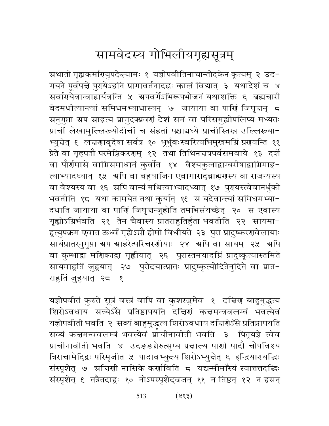## सामवेदस्य गोभिलीयगृह्यसूत्रम्

ग्र्रथातो गृह्यकर्मागयुपदेन्दयामः १ यज्ञोपवीतिनाचान्तोदकेन कृत्यम् २ उद− गयने पूर्वपद्मे पुरायेऽहनि प्रागावर्तनादह्नः कालं विद्यात् ३ यथादेशं च ४ सर्वारयेवान्वाहार्यवन्ति ५ ग्रपवर्गेऽभिरूपभोजनं यथाशक्ति ६ ब्रह्मचारी वेदमधीत्यान्त्यां समिधमभ्याधास्यन् ७ जायाया वा पार्णि जिघृत्तन् ८ ग्रनुगुप्ता ग्रप ग्राहृत्य प्रागुदक्प्रवर्ग देशं समं वा परिसमुह्योपलिप्य मध्यतः प्राचीं लेखामुल्लिरूयोदीचीं च संहतां पश्चाद्यध्ये प्राचीस्तिस्र उल्लिख्या-भ्युन्नेत् ६ लन्नगावृदेषा सर्वत्र १० भूर्भुवःस्वरित्यभिमुखमग्निं प्रगयन्ति ११ प्रेते वा गृहपतौ परमेष्ठिकरणम् १२ तथा तिथिनचत्रपर्वसमवाये १३ दर्शे वा पौर्णमासे वाम्निसमाधानं कुर्वात १४ वैश्यकुलाद्वाम्बरीषाद्वाम्निमाह− त्याभ्यादध्यात् १५ अपि वा बहुयाजिन एवागाराद्ब्राह्मणस्य वा राजन्यस्य वा वैश्यस्य वा १६ ग्रपि वान्यं मथित्वाभ्यादध्यात् १७ पुरायस्त्वेवानर्धुको भवतीति १८ यथा कामयेत तथा कुर्यात् १६ स यदेवान्त्यां समिधमभ्या-दधाति जायाया वा पाणिं जिघृत्तन्जुहोति तमभिसंयच्छेत् २० स एवास्य गृह्योऽग्निर्भवति २१ तेन चैवास्य प्रातराहुतिर्हुता भवतीति २२ सायमा-हुत्युपक्रम एवात ऊर्ध्वं गृह्येऽग्नौ होमो विधीयते २३ पुरा प्रादुष्करणवेलायाः सायंप्रातरनुगुप्ता ग्रप ग्राहरेत्परिचरणीयाः २४ अपि वा सायम् २५ अपि वा कुम्भाद्रा मणिकाद्रा गृह्णीयात् २६ पुरास्तमयादग्निं प्रादुष्कृत्यास्तमिते सायमाहुतिं जुहुयात् २७ पुरोदयात्प्रातः प्रादुष्कृत्योदितेनुदिते वा प्रात-राहुतिं जुहुयात् २८ १

यज्ञोपवीतं कुरुते सूत्रं वस्त्रं वापि वा कुशरज़ुमेव १ दत्तिणं बाहुमुद्धत्य शिरोऽवधाय सव्येऽँसे प्रतिष्ठापयति दच्चिणं कच्चमन्ववलम्बं भवत्येवं यज्ञोपवीती भवति २ सव्यं बाहुमुद्धत्य शिरोऽवधाय दच्चिर्णेऽँसे प्रतिष्ठापयति सव्यं कच्चमन्ववलम्बं भवत्येवं प्राचीनावीती भवति ३ पितृयज्ञे त्वेव प्राचीनावीती भवति ४ उदङ्ङग्नेरुत्सृप्य प्रज्ञाल्य पाणी पादौ चोपविश्य त्रिराचामेदि्द्रः परिमृजीत ५ पादावभ्युन्त्य शिरोऽभ्युन्नेत् ६ इन्द्रियारयद्धिः संस्पृशेत् ७ अचिणी नासिके कर्णाविति ८ यद्यन्मीमाँस्यं स्यात्ततदद्धिः संस्पृशेत् ६ तत्रैतदाहुः १० नोऽपस्पृशेद्वजन् ११ न तिष्ठन् १२ न हसन्

> $(x3)$ 513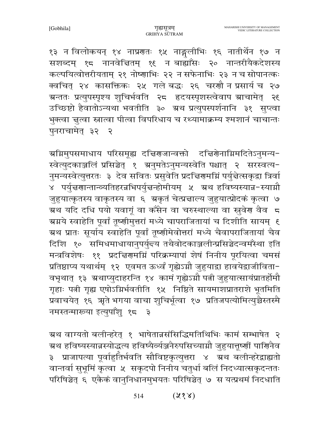१३ न विलोकयन् १४ नाप्रणतः १५ नाङ्गलीभिः १६ नातीर्थेन १७ न सशब्दम् १८ नानवेचितम् १६ न बाह्याँसः २० नान्तरीयैकदेशस्य कल्पयित्वोत्तरीयताम् २१ नोष्णाभिः २२ न सफेनाभिः २३ न च सोपानत्कः क्वचित् २४ कासक्तिकः २५ गले बद्धः २६ चरणौ न प्रसार्य च २७ ग्रन्ततः प्रत्युपस्पृश्य शुचिर्भवति २८ हृदयस्पृशस्त्वेवाप ग्राचामेत् २६ उच्छिष्टो हैवातोऽन्यथा भवतीति ३० ग्रथ प्रत्युपस्पर्शनानि ३१ सुप्त्वा भुक्त्वा ज्ञुत्वा स्नात्वा पीत्वा विपरिधाय च रथ्यामाक्रम्य श्मशानं चाचान्तः पुनराचामेत् ३२ २

अग्निमुपसमाधाय परिसमूह्य दचिरणजान्वक्तो दचिरणेनाग्निमदितेऽनुमन्य-स्वेत्युदकाञ्जलिं प्रसिञ्चेत् १ अनुमतेऽनुमन्यस्वेति पश्चात् २ सरस्वत्य-नुमन्यस्वेत्युत्तरतः ३ देव सवितः प्रसुवेति प्रदच्चिणमम्निं पर्युच्चेत्सकृद्वा त्रिर्वा ४ पर्युत्तरणान्तान्व्यतिहरन्नभिपर्युत्तन्होमीयम् ५ अथ हविष्यस्यान्न-स्याग्नौ जुहुयात्कृतस्य वाकृतस्य वा ६ ग्रकृतं चेत्प्रज्ञाल्य जुहुयात्प्रोदकं कृत्वा ७ ग्रथ यदि दधि पयो यवागूं वा कँसेन वा चरुस्थाल्या वा सुवेण वैव 5 ग्रग्नये स्वाहेति पूर्वां तूष्णीमुत्तरां मध्ये चापराजितायां च दिशीति सायम् ६ ग्रथ प्रातः सूर्याय स्वाहेति पूर्वां तूष्णीमेवोत्तरां मध्ये चैवापराजितायां चैव दिशि १० समिधमाधायानुपर्युन्त्य तथैवोदकाञ्जलीन्प्रसिञ्चेदन्वमॅस्था इति मन्त्रविशेषः ११ प्रदत्तिरामग्निं परिक्रम्यापां शेषं निनीय पूरयित्वा चमसं प्रतिष्ठाप्य यथार्थम् १२ एवमत ऊर्ध्वं गृह्येऽग्नौ जुहुयाद्रा हावयेद्वाजीविता-वभृथात् १३ ग्रथाप्युदाहरन्ति १४ कामं गृह्येऽग्नौ पत्नी जुहुयात्सायंप्रातर्होमौ गृहाः पत्नी गृह्य एषोऽग्निर्भवतीति १५ निष्ठिते सायमाशप्रातराशे भूतमिति प्रवाचयेत् १६ ऋते भगया वाचा शुचिर्भूत्वा १७ प्रतिजपत्योमित्युच्चैस्तस्मै नमस्तन्मारूया इत्युपाँशु १८ ३

ग्रथ वाग्यतो बलीन्हरेत् १ भाषेतान्नसंसिद्धिमतिथिभिः कामं सम्भाषेत २ ग्रथ हविष्यस्यान्नस्योद्धत्य हविष्यैर्व्यञ्जनैरुपसिच्याग्नौ जुहुयात्तृष्णीं पाणिनैव ३ प्राजापत्या पूर्वाहुर्तिर्भवति सौविष्टकृत्युत्तरा ४ ग्रथ बलीन्हरेद्वाह्यतो वान्तर्वा सुभूमिं कृत्वा ५ सकृदपो निनीय चतुर्धा बलिं निदध्यात्सकृदन्ततः परिषिञ्चेत् ६ एकैकं वानुनिधानमुभयतः परिषिञ्चेत् ७ स यत्प्रथमं निदधाति

> $(\lambda \delta \lambda)$ 514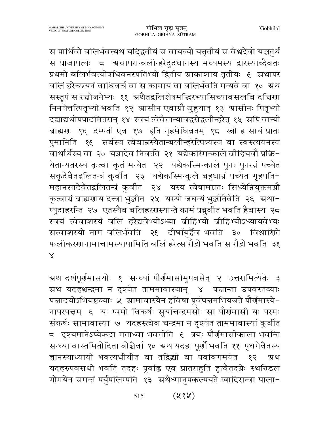स पार्थिवो बलिर्भवत्यथ यदि्द्रतीयं स वायव्यो यत्तृतीयं स वैश्वदेवो यच्चतुर्थं स प्राजापत्यः 5 ग्रथापरान्बलीन्हरेदुदधानस्य मध्यमस्य द्वारस्याब्दैवतः प्रथमो बलिर्भवत्योषधिवनस्पतिभ्यो द्वितीय स्राकाशाय तृतीयः १ स्रथापरं बलिं हरेच्छयनं वाधिवर्चं वा स कामाय वा बलिर्भवति मन्यवे वा १० ग्रथ सस्तूपं स रच्चोजनेभ्यः ११ अथैतद्वलिशेषमद्भिरभ्यासिच्यावसलवि दचिर्णा निनयेत्तत्पितृभ्यो भवति १२ स्रासीन एवाम्नौ जुहुयात् १३ स्रासीनः पितृभ्यो दद्याद्यथोपपादमितरान् १४ स्वयं त्वेवैतान्यावद्रसेद्वलीन्हरेत् १५ अपि वान्यो ब्राह्मणः १६ दम्पती एव १७ इति गृहमेधिव्रतम् १८ स्त्री ह सायं प्रातः पुमानिति १६ सर्वस्य त्वेवान्नस्यैतान्बलीन्हरेत्पित्र्यस्य वा स्वस्त्ययनस्य वार्थार्थस्य वा २० यज्ञादेव निवर्तते २१ यद्येकस्मिन्काले बीहियवौ प्रक्रि-येतान्यतरस्य कृत्वा कृतं मन्येत २२ यद्येकस्मिन्काले पुनः पुनरन्नं पच्येत सकृदेवैतद्वलितन्त्रं कुर्वीत २३ यद्येकस्मिन्कुले बहुधान्नं पच्येत गृहपति-महानसादेवैतद्वलितन्त्रं कुर्वीत २४ यस्य त्वेषामग्रतः सिध्येन्नियुक्तमग्नौ कृत्वाग्रं ब्राह्मणाय दत्त्वा भुञ्जीत २५ यस्यो जघन्यं भुञ्जीतैवेति २६ ग्रथा-प्युदाहरन्ति २७ एतस्यैव बलिहरणस्यान्ते कामं प्रबूवीत भवति हैवास्य २८ स्वयं त्वेवाशस्यं बलिं हरेद्यवेभ्योऽध्या व्रीहिभ्यो व्रीहिभ्योऽध्यायवेभ्यः सत्वाशस्यो नाम बलिर्भवति २६ दीर्घायुर्हैव भवति ३० विश्राणिते फलीकरणानामाचामस्यापामिति बलिं हरेत्स रौद्रो भवति स रौद्रो भवति ३१  $\times$ 

ग्रथ दर्शपूर्णमासयोः १ सन्ध्यां पौर्णमासीमुपवसेत् २ उत्तरामित्येके ३ ग्रथ यदहश्चन्द्रमा न दृश्येत ताममावास्याम् ४ पत्तान्ता उपवस्तव्याः पत्तादयोऽभियष्टव्याः ५ स्रामावास्येन हविषा पूर्वपत्तमभियजते पौर्णमास्ये-नापरपद्मम् ६ यः परमो विकर्षः सूर्याचन्द्रमसोः सा पौर्णमासी यः परमः संकर्षः सामावास्या ७ यदहस्त्वेव चन्द्रमा न दृश्येत ताममावास्यां कुर्वीत 5 दृश्यमानेऽप्येकदा गताध्वा भवतीति १ त्रयः पौर्णमासीकाला भवन्ति सन्ध्या वास्तमितोदिता वोच्चैर्वा १० ग्रथ यदहः पूर्णो भवति ११ पृथगेवैतस्य ज्ञानस्याध्यायो भवत्यधीयीत वा तद्विद्यो वा पर्वावगमयेत १२ त्र्रथ यदहरुपवसथो भवति तदहः पूर्वाह्ल एव प्रातराहुतिं हुत्वैतदग्नेः स्थरिडलं गोमयेन समन्तं पर्युपलिम्पति १३ अथैध्मानुपकल्पयते खादिरान्वा पाला-

> $(232)$ 515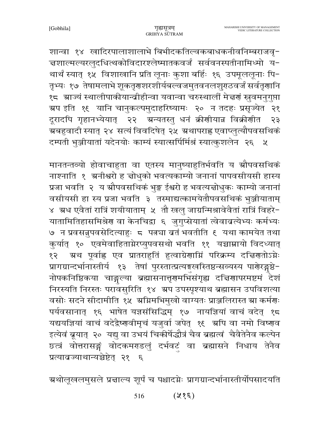शान्वा १४ खादिरपालाशालाभे बिभीदकतिल्वकबाधकनीवनिम्बराजवृ-चशाल्मल्यरलुदधित्थकोविदारश्लेष्मातकवर्जं सर्ववनस्पतीनामिध्मो य-थार्थं स्यात् १५ विशाखानि प्रति लूनाः कुशा बर्हिः १६ उपमूललूनाः पि− तृभ्यः १७ तेषामलाभे शूकतृगशारशीर्यबल्वजमुतवनलशुगठवर्जं सर्वतृगानि १८ - ग्राज्यं स्थालीपाकीयान्व्रीहीन्वा यवान्वा चरुस्थालीं मेज्ञणं स्रुवमनुगुप्ता ग्रप इति १६ यानि चानुकल्पमुदाहरिष्यामः २० न तदहः प्रसृज्येत २१ दूरादपि गृहानभ्येयात् २२ अन्यतस्तु धनं क्रीणीयान्न विक्रीणीत  $55$ ग्रबहुवादी स्यात् २४ सत्यं विवदिषेत् २५ ग्रथापराह्न एवाप्लुत्यौपवसथिकं दम्पती भुञ्जीयातां यदेनयोः काम्यं स्यात्सर्पिर्मिश्रं स्यात्कुशलेन २६ ५

मानतन्तव्यो होवाचाहुता वा एतस्य मानुष्याहुतिर्भवति य स्रौपवसथिकं नाश्नाति १ अनीश्वरो ह चोधुको भवत्यकाम्यो जनानां पापवसीयसी हास्य प्रजा भवति २ य स्रौपवसथिकं भुङ्क ईश्वरो ह भवत्यत्तोधुकः काम्यो जनानां वसीयसी हा स्य प्रजा भवति ३ तस्माद्यत्कामयेतौपवसथिकं भुञ्जीयाताम् ४) ग्रंध एवैतां रात्रिं शयीयाताम् । तौ खलु जाग्रन्मिश्रावेवैतां रात्रिं विहरे-यातामितिहासमिश्रेण वा केनचिद्वा ६ जुगुप्सेयातां त्वेवाव्रत्येभ्यः कर्मभ्यः ७) न प्रवसन्नुपवसेदित्याहुः ८ पत्न्या बतं भवतीति १ यथा कामयेत तथा कुर्यात् १० एवमेवाहिताग्नेरप्युपवसथो भवति ११ यच्चाम्नायो विदध्यात् ग्रथ पूर्वाह्ल एव प्रातराहुतिं हुत्वाग्रेणामिं परिक्रम्य दचिणतोऽम्नेः १२ प्रागग्रान्दर्भानास्तीर्य १३ तेषां पुरस्तात्प्रत्यङ्गखस्तिष्ठन्सव्यस्य पार्णेरङ्गष्ठे-नोपकनिष्ठिकया चाङ्गल्या ब्रह्मासनात्तृगमभिसंगृह्य दत्तिगापरमष्टमं देशं निरस्यति निरस्तः परावसुरिति १४ अप उपस्पृश्याथ ब्रह्मासन उपविशत्या वसोः सदने सीदामीति १५ अग्निमभिमुखो वाग्यतः प्राञ्जलिरास्त स्रा कर्मणः पर्यवसानात् १६ भाषेत यज्ञसंसिद्धिम् १७ नायज्ञियां वाचं वदेत् १८ यद्ययज्ञियां वाचं वदेद्वैष्णवीमृचं यजुर्वा जपेत् १६ अपि वा नमो विष्णव इत्येवं ब्रूयात् २० यद्यु वा उभयं चिकीर्षेद्धौत्रं चैव ब्रह्मत्वं चैवैतेनैव कल्पेन छत्त्रं वोत्तरासङ्गं वोदकमराडलुं दर्भवटं वा ब्रह्मासने निधाय तेनैव प्रत्यावज्याथान्यच्चेष्टेत् २१ ६

ग्रथोलूखलमुसले प्रज्ञाल्य शूर्पं च पश्चादग्नेः प्रागग्रान्दर्भानास्तीर्योपसादयति

 $(35\%)$ 516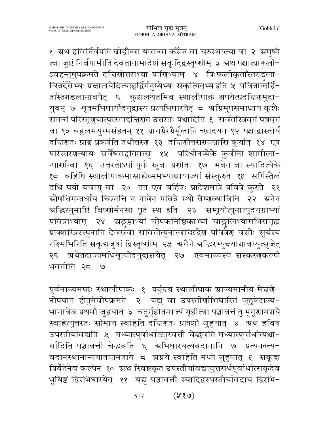१ ग्रथ हविर्निर्वपति ब्रीहीन्वा यवान्वा कँसेन वा चरुस्थाल्या वा २ ग्रमुष्मै त्वा जुष्टं निर्वपामीति देवतानामादेशं सकृदि्द्रस्तूष्णीम् ३ ग्रथ पश्चात्प्राङ्गुखो-ऽवहन्तुमुपक्रमते दच्चिणोत्तराभ्यां पाणिभ्याम् ४ त्रिःफलीकृताँस्तराडला− न्स्त्रिर्दैवेभ्यः प्रज्ञालयेदित्याहुर्द्विर्मनुष्येभ्यः सकृत्पितृभ्य इति ५ पवित्रान्तर्हि-ताँस्तराडलानावपेत् ६ कुशलशृतमिव स्थालीपाकं श्रपयेत्प्रदत्तिरामुदा-युवन् ७ शृतमभिघार्योदगुद्वास्य प्रत्यभिघारयेत् ८ अग्निमुपसमाधाय कुशैः समन्तं परिस्तृणुयात्पुरस्ताद्दिज्ञिणत उत्तरतः पश्चादिति १ सर्वतस्त्रिवृतं पञ्चवृतं वा १० बहुलमयुग्मसंहतम् ११ प्रागग्रैरग्रैर्मूलानि च्छादयन् १२ पश्चाद्वास्तीर्य दच्चिणतः प्राञ्चं प्रकर्षति तथोत्तरेण १३ दच्चिणोत्तराययग्राणि कुर्यात् १४ एष परिस्तरगन्यायः सर्वेष्वाहुतिमत्सु १५ परिधीनप्येके कुर्वन्ति शामीला-न्पार्णान्वा १६ उत्तरतोऽपां पूर्नः स्रुवः प्रणीता १७ भवेन वा स्यादित्येके १८ बर्हिषि स्थालीपाकमासाद्येध्ममभ्याधायाज्यां संस्कुरुते १९ सर्पिस्तैलं दधि पयो यवागूं वा २० तत एव बर्हिषः प्रादेशमात्रे पवित्रे कुरुते २१ ग्रोषधिमन्तर्धाय च्छिनत्ति न नखेन पवित्रे स्थो वैष्णव्याविति २२ ग्रनेन अद्धिरनुमार्ष्टि विष्णोर्मनसा पूते स्थ इति २३ सम्पूयोत्पुनात्युदगग्राभ्यां पवित्राभ्याम् २४ ग्रङ्गष्ठाभ्यां चोपकनिष्ठिकाभ्यां चाङ्गलिभ्यामभिसंगृह्य प्राक्शस्त्रिरुत्पुनाति देवस्त्वा सवितोत्पुनात्वच्छिद्रेण पवित्रेण वसोः सूर्यस्य रश्मिभिरिति सकृद्यजुषां द्विस्तूष्णीम् २५ अथैने अद्भिरभ्युन्त्याग्नावप्युत्सृजेत् २६ अथैतदाज्यमधिशृत्योदगुद्वासयेत् २७ एवमाज्यस्य संस्करणकल्पो भवतीति २८  $\cup$ 

पूर्वमाज्यमपरः स्थालीपाकः १ पर्युन्दय स्थालीपाक म्राज्यमानीय मेच्चणे-नोपघातं होतुमेवोपक्रमते २ यद्यु वा उपस्तीर्णाभिघारितं जुहुषेदाज्य-भागावेव प्रथमौ जुहुयात् ३ चतुर्गृहीतमाज्यं गृहीत्वा पञ्चावत्तं तु भृगूणामग्नये स्वाहेत्युत्तरतः सोमाय स्वाहेति दच्चिणतः प्राक्शो जुहुयात् ४ अ्रथ हविष उपस्तीर्यावद्यति ५ मध्यात्पूर्वार्धाच्चतुरवत्ती चेद्धवति मध्यात्पूर्वार्धात्पश्चा-र्धादिति पञ्चावत्ती चेद्धवति ६ अभिघारयत्यवदानानि ७ प्रत्यनक्त्य-वदानस्थानान्ययातयामतायै ८ ग्रग्नये स्वाहेति मध्ये जुहुयात् ६ सकृद्धा त्रिर्वैतेनैव कल्पेन १० ग्रथ स्विष्टकृत उपस्तीर्यावद्यत्तुत्तरार्धपूर्वार्धात्सकृदेव भूयिष्ठं द्विरभिघारयेत् ११ यद्यु पञ्चावत्ती स्यादि्दरुपस्तीर्यावदाय द्विरभि-

> $(88)$ 517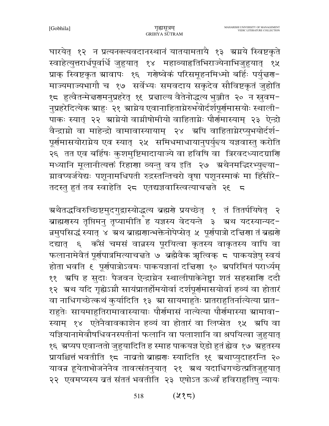घारयेत् १२ न प्रत्यनक्त्यवदानस्थानं यातयामतायै १३ अग्नये स्विष्टकृते स्वाहेत्युत्तरार्धपूर्वार्धे जुहुयात् १४ महाव्याहृतिभिराज्येनाभिजुहुयात् १५ प्राक् स्विष्टकृत ग्रावापः १६ गरोष्वेकं परिसमूहनमिध्मो बर्हिः पर्युत्तरण-माज्यमाज्यभागौ च १७ सर्वेभ्यः समवदाय सकृदेव सौविष्टकृतं जुहोति १८ हुत्वैतन्मेन्नरणमनुप्रहरेत् १६ प्रन्नाल्य वैतेनोद्धत्य भुञ्जीत २० न स्नुवम-नुप्रहरेदित्येक ग्राहुः २१ ग्राग्नेय एवानाहिताग्नेरुभयोर्दर्शपूर्णमासयोः स्थाली-पाकः स्यात् २२ स्राग्नेयो वाग्नीषोमीयो वाहिताग्नेः पौर्णमास्याम् २३ ऐन्द्रो वैन्द्राग्नो वा माहेन्द्रो वामावास्यायाम् २४ अपि वाहिताग्नेरप्युभयोर्दर्श-पूर्णमासयोराग्नेय एव स्यात् २५ समिधमाधायानुपर्युन्दय यज्ञवास्तु करोति २६ तत एव बर्हिषः कुशमुष्टिमादायाज्ये वा हविषि वा त्रिरवदध्यादग्राणि मध्यानि मूलानीत्यक्तं रिहाणा व्यन्तु वय इति २७ अथैनमद्भिरभ्युन्त्या-ग्रावप्यर्जयेद्यः पशूनामधिपती रुद्रस्तन्तिचरो वृषा पशूनस्माकं मा हिँसीरे-तदस्तु हुतं तव स्वाहेति २८ एतद्यज्ञवास्त्वित्याचन्नते २६ ८

ग्रथैतद्धविरुच्छिष्टमुदगुद्वास्योद्धत्य ब्रह्मणे प्रयच्छेत् १ तं तितर्पयिषेत् २ ब्राह्मरास्य तृप्तिमनु तृष्यामीति ह यज्ञस्य वेदयन्ते ३ अथ यदस्यान्यद-न्नमुपसिद्धं स्यात् ४ अथ ब्राह्मणान्भक्तेनोपेप्सेत् ५ पूर्णपात्रो दत्तिणा तं ब्रह्मणे दद्यात् ६ कॅंसं चमसं वान्नस्य पूरयित्वा कृतस्य वाकृतस्य वापि वा फलानामेवैतं पूर्णपात्रमित्याचन्नते ७ ब्रह्मैवैक ऋत्विक् ८ पाकयज्ञेषु स्वयं होता भवति ६ पूर्णपात्रोऽवमः पाकयज्ञानां दच्चिणा १० अपरिमितं परार्ध्यम् ११ ग्रपि ह सुदाः पैजवन ऐन्द्राग्नेन स्थालीपाकेनेष्ट्रा शतं सहस्राणि ददौ १२ ग्रथ यदि गृह्येऽग्नौ सायंप्रातर्होमयोर्वा दर्शपूर्णमासयोर्वा हव्यं वा होतारं वा नाधिगच्छेत्कथं कुर्यादिति १३ म्रा सायमाहुतेः प्रातराहुतिर्नात्येत्या प्रात-राहुतेः सायमाहुतिरामावास्यायाः पौर्णमासं नात्येत्या पौर्णमास्या ग्रामावा-स्याम् १४ एतेनैवावकाशेन हव्यं वा होतारं वा लिप्सेत १५ अपि वा यज्ञियानामेवौषधिवनस्पतीनां फलानि वा पलाशानि वा श्रपयित्वा जुहुयात् १६ ग्रप्यप एवान्ततो जुहुयादिति ह स्माह पाकयज्ञ ऐडो हुतं ह्येव १७ ग्रहुतस्य प्रायश्चित्तं भवतीति १८ नावतो ब्राह्मणः स्यादिति १९ ग्रथाप्युदाहरन्ति २० यावन्न हूयेताभोजनेनैव तावर्त्सतनुयात् २१ अथ यदाधिगच्छेत्प्रतिजुहुयात् २२ एवमप्यस्य व्रतं संततं भवतीति २३ एषोऽत ऊर्ध्वं हविराहुतिषु न्यायः

> $(235)$ 518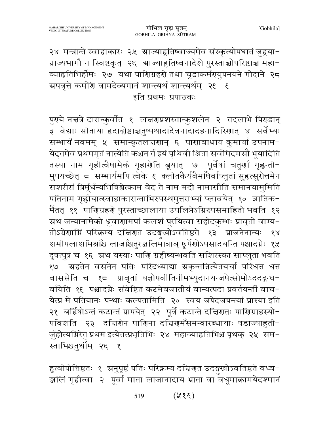२४ मन्त्रान्ते स्वाहाकारः २५ ग्राज्याहुतिष्वाज्यमेव संस्कृत्योपघातं जुहुया-न्नाज्यभागौ न स्विष्टकृत् २६ म्राज्याहुतिष्वनादेशे पुरस्ताच्चोपरिष्टाच्च महा− व्याहृतिभिर्होमः २७ यथा पाणिग्रहर्णे तथा चूडाकर्मरायुपनयने गोदाने २८ ग्रपवृत्ते कर्मणि वामदेव्यगानं शान्त्यर्थं शान्त्यर्थम् २६ ६ इति प्रथमः प्रपाठकः

पुर्यये नचत्रे दारान्कुर्वात १ लचरणप्रशस्तान्कुशलेन २ तदलाभे पिराडान् ३ वेद्याः सीताया हृदाद्गोष्ठाञ्चतुष्पथादादेवनादादहनादिरिणात् ४ सर्वेभ्यः सम्भार्यं नवमम् ५ समान्कृतलच्चणान् ६ पाणावाधाय कुमार्या उपनाम-येदृतमेव प्रथममृतं नात्येति कश्चन र्त इयं पृथिवी श्रिता सर्वमिदमसौ भूयादिति तस्या नाम गृहीत्वैषामेकं गृहार्यात ब्रूयात् ७ पूर्वेषां चतुर्यां गृह्णन्ती-मुपयच्छेत् ८ सम्भार्यमपि त्वेके ६ क्लीतकैर्यवैर्माषैर्वाप्लुतां सुहत्सुरोत्तमेन सशरीरां त्रिर्मूर्धन्यभिषिञ्चेत्काम वेद ते नाम मदो नामासीति समानयामुमिति पतिनाम गृह्णीयात्स्वाहाकारान्ताभिरुपस्थमुत्तराभ्यां प्लावयेत् १० ज्ञातिक-र्मैतत् ११ पारिणग्रहरू पुरस्ताच्छालाया उपलिप्तेऽग्निरुपसमाहितो भवति १२ म्रथ जन्यानामेको ध्रुवाणामपां कलशं पूरयित्वा सहोदकुम्भः प्रावृतो वाग्य− तोऽग्रेणाम्निं परिक्रम्य दच्चिणत उदङ्गखोऽवतिष्ठते १३ प्राजनेनान्यः १४ शमीपलाशमिश्राँश्च लाजाँश्चतुरञ्जलिमात्राञ् छूर्पेणोऽपसादयन्ति पश्चादग्नेः १५ दृषत्पुत्रं च १६ अथ यस्याः पाणिं ग्रहीष्यन्भवति सशिरस्का साप्लुता भवति १७ ग्रहतेन वसनेन पतिः परिदध्याद्या ग्रकृन्तन्नित्येतयर्चा परिधत्त धत्त वाससेति च १८ प्रावृतां यज्ञोपवीतिनीमभ्युदानयन्जपेत्सोमोऽददद्गन्ध-र्वायेति १६ पश्चादग्नेः संवेष्टितं कटमेवंजातीयं वान्यत्पदा प्रवर्तयन्तीं वाच− येत्प्र मे पतियानः पन्थाः कल्पतामिति २० स्वयं जपेदजपन्त्यां प्रास्या इति २१ बर्हिषोऽन्तं कटान्तं प्रापयेत् २२ पूर्वे कटान्ते दच्चिणतः पाणिग्राहस्यो-पविशति २३ दचिरणेन पाणिना दचिरणमँसमन्वारब्धायाः षडाज्याहुती-र्जुहोत्यम्रिरेतु प्रथम इत्येतत्प्रभृतिभिः २४ महाव्याहतिभिश्च पृथक् २५ सम-स्ताभिश्चतुर्थीम् २६ १

हुत्वोपोत्तिष्ठतः १ अनुपृष्ठं पतिः परिक्रम्य दच्चिणत उदङ्गखोऽवतिष्ठते वध्व− ञ्जलिं गृहीत्वा २ पूर्वा माता लाजानादाय भ्राता वा वधूमाक्रामयेदश्मानं

> $(38\%)$ 519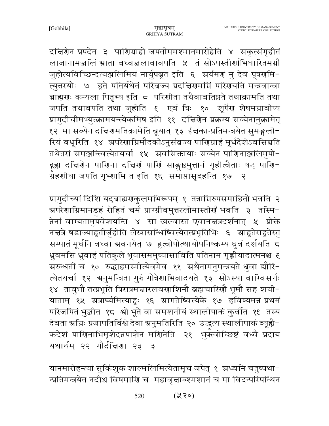दचिरणेन प्रपदेन ३ पाणिग्राहो जपतीममश्मानमारोहेति ४ सकृत्संगृहीतं लाजानामञ्जलिं भ्राता वध्वञ्जलावावपति ५ तं सोऽपस्तीर्णाभिघारितमग्नौ जुहोत्यविच्छिन्दत्यञ्जलिमियं नार्युपब्रूत इति ६ अर्यमणं नु देवं पूषणमि-त्युत्तरयोः ७ हुते पतिर्यथेतं परिव्रज्य प्रदद्मिणमग्निं परिणयति मन्त्रवान्वा ब्राह्मणः कन्यला पितृभ्य इति 5 परिणीता तथैवावतिष्ठते तथाक्रामति तथा जपति तथावपति तथा जुहोति ६ एवं त्रिः १० शूर्पेण शेषमग्नावोप्य प्रागुदीचीमभ्युत्क्रामयन्त्येकमिष इति ११ दत्तिरोन प्रक्रम्य सव्येनानुक्रामेत् १२ मा सव्येन दच्चिणमतिक्रामेति ब्रूयात् १३ ईच्चकान्प्रतिमन्त्रयेत सुमङ्गली-रियं वधूरिति १४ अपरेणाग्निमौदकोऽनुसंबज्य पाणिग्राहं मूर्धदेशेऽवसिञ्चति तथेतरां समञ्जन्त्वित्येतयर्चा १५ अवसिक्तायाः सव्येन पाणिनाञ्जलिमुपो-द्गह्य दच्चिरणेन पाणिना दच्चिणं पाणिं साङ्गृष्ठमुत्तानं गृहीत्वैताः षट् पाणि-्<br>ग्रँहणीया जपति गृभ्णामि त इति १६ समाप्तासूद्रहन्ति १७  $\overline{\mathcal{R}}$ 

प्रागुदीच्यां दिशि यद्ब्राह्मणकुलमभिरूपम् १ तत्राग्निरुपसमाहितो भवति २ ञ्चपरेणाग्निमानडहं रोहितं चर्म प्राग्ग्रीवमुत्तरलोमास्तीर्णं भवति ३ तस्मि− न्नेनां वाग्यतामुपवेशयन्ति ४ सा खल्वास्त एवानचत्रदर्शनात् *५* प्रोक्ते नचत्रे षडाज्याहृतीर्जुहोति लेखासन्धिष्वित्येतत्प्रभृतिभिः ६ स्राहुतेराहुतेस्तु सम्पातं मूर्धनि वध्वा ग्रवनयेत् ७ हुत्वोपोत्थायोपनिष्क्रम्य ध्रुवं दर्शयति 5 ध्रुवमसि ध्रुवाहं पतिकुले भूयासममुष्यासाविति पतिनाम गृह्णीयादात्मनश्च ६ ग्ररुन्धर्ती च १० रुद्धाहमस्मीत्येवमेव ११ ग्रथैनामनुमन्त्रयते ध्रुवा द्यौरि− त्येतयर्चा १२ अनुमन्त्रिता गुरुं गोत्रेणाभिवादयते १३ सोऽस्या वाग्विसर्गः १४) तावुभौ तत्प्रभृति त्रिरात्रमच्चारलवर्णाशिनौ ब्रह्मचारिणौ भूमौ सह शयी− याताम् १५ ग्रत्रार्घ्यमित्याहुः १६ ग्रागतेष्वित्येके १७ हविष्यमन्नं प्रथमं परिजपितं भुञ्जीत १८ श्वो भूते वा समशनीयं स्थालीपाकं कुर्वीत १९ तस्य देवता ग्रग्निः प्रजापतिर्विश्वे देवा ग्रनुमतिरिति २० उद्धत्य स्थालीपाकं व्यूह्यै-कदेशं पाणिनाभिमृशेदन्नपाशेन मणिनेति २१ भुक्त्वोच्छिष्टं वध्वै प्रदाय यथार्थम् २२ गौर्दचिया २३ ३

यानमारोहन्त्यां सुकिंशुकं शाल्मलिमित्येतामृचं जपेत् १ ग्रध्वनि चतुष्पथा-न्प्रतिमन्त्रयेत नदीश्च विषमाणि च महावृत्ताञ्श्मशानं च मा विदन्परिपन्थिन

> $(220)$ 520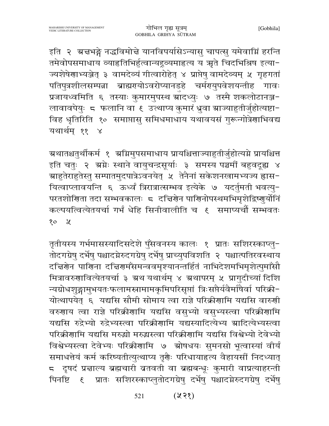इति २ अचभङ्गे नद्धविमोचे यानविपर्यासेऽन्यासु चापत्सु यमेवाग्निं हरन्ति तमेवोपसमाधाय व्याहृतिभिर्हुत्वान्यद्रूव्यमाहृत्य य ऋते चिदभिश्रिष इत्या-ज्यशेषेणाभ्यञ्जेत् ३ वामदेव्यं गीत्वारोहेत् ४ प्राप्तेषु वामदेव्यम् ५ गृहगतां पतिपुत्रशीलसम्पन्ना ब्राह्मरायोऽवरोप्यानडहे चर्मरायुपवेशयन्तीह गावः प्रजायध्वमिति ६ तस्याः कुमारमुपस्थ ग्रॉदध्युः ७ तस्मै शकलोटानञ्ज-लावावपेयुः ८ फलानि वा ९ उत्थाप्य कुमारं ध्रुवा म्राज्याहुतीर्जुहोत्यष्टा− विह धृतिरिति १० समाप्तासु समिधमाधाय यथावयसं गुरून्गोत्रेणाभिवद्य यथार्थम् ११ ४

ग्रथातश्चतुर्थीकर्म १ ग्रमिमुपसमाधाय प्रायश्चित्ताज्याहुतीर्जुहोत्यग्ने प्रायश्चित्त इति चतुः २ अग्नेः स्थाने वायुचन्द्रसूर्याः ३ समस्य पञ्चमीं बहुवदूह्य ४ ग्राहुतेराहुतेस्तु सम्पातमुदपात्रेऽवनयेत् ४ तेनैनां सकेशनखामभ्यज्य ह्रास− यित्वाप्लावयन्ति ६ ऊर्ध्वं त्रिरात्रात्सम्भव इत्येके ७ यदर्तुमती भवत्यु-परतशोणिता तदा सम्भवकालः ८ दच्चिणेन पाणिनोपस्थमभिमृशेद्विष्णुर्योनि कल्पयत्वित्येतयर्चा गर्भं धेहि सिनीवालीति च १ समाप्यचौं सम्भवतः  $\chi$  $\delta$ 

तृतीयस्य गर्भमासस्यादिसदेशे पुँसवनस्य कालः १ प्रातः सशिरस्काप्लु-तोदगग्रेषु दर्भेषु पश्चादग्नेरुदगग्रेषु दर्भेषु प्राच्युपविशति २ पश्चात्पतिरवस्थाय दच्चिरोन पारागना दच्चिरामँसमन्ववमृश्यानन्तर्हितं नाभिदेशमभिमृशेत्पुमाँसौ मित्रावरुगावित्येतयर्चा ३ ग्रथ यथार्थम् ४ ग्रथापरम् ५ प्रागुदीच्यां दिशि न्यग्रोधशुङ्गामुभयतःफलामस्त्रामामकृमिपरिसृप्तां त्रिःसप्तैर्यवैर्माषैर्वा परिक्री-योत्थापयेत् ६ यद्यसि सौमी सोमाय त्वा राज्ञे परिक्रीणामि यद्यसि वारुणी वरुणाय त्वा राज्ञे परिक्रीणामि यद्यसि वसुभ्यो वसुभ्यस्त्वा परिक्रीणामि यद्यसि रुद्रेभ्यो रुद्रेभ्यस्त्वा परिक्रीगामि यद्यस्यादित्येभ्य स्रादित्येभ्यस्त्वा परिक्रीगामि यद्यसि मरुद्धो मरुद्धस्त्वा परिक्रीगामि यद्यसि विश्वेभ्यो देवेभ्यो विश्वेभ्यस्त्वा देवेभ्यः परिक्रीणामि ७ ग्रोषधयः सुमनसो भूत्वास्यां वीर्यं समाधत्तेयं कर्म करिष्यतीत्युत्थाप्य तृगैः परिधायाहृत्य वैहायसीं निदध्यात् 5 दृषदं प्रचाल्य ब्रह्मचारी बतवती वा ब्रह्मबन्धूः कुमारी वाप्रत्याहरन्ती पिनष्टि ६ प्रातः सशिरस्काप्लुतोदगग्रेषु दर्भेषु पश्चादग्नेरुदगग्रेषु दर्भेषु

> $(\lambda \lambda)$ 521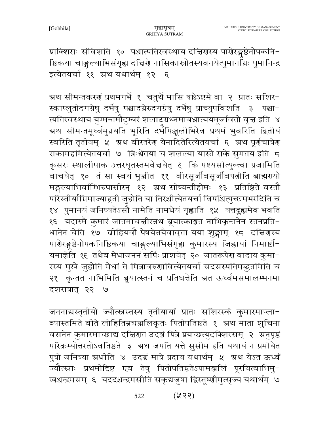प्राक्शिराः संविशति १० पश्चात्पतिरवस्थाय दच्चिणस्य पाणेरङ्गष्ठेनोपकनि-ष्ठिकया चाङ्गल्याभिसंगृह्य दच्चिणे नासिकास्रोतस्यवनयेत्पुमानम्निः पुमानिन्द्र इत्येतयर्चा ११ ग्रथ यथार्थम् १२ ६

म्रथ सीमन्तकरणं प्रथमगर्भे १ चतुर्थे मासि षष्ठेऽष्टमे वा २ प्रातः सशिर− स्काप्लुतोदगग्रेषु दर्भेषु पश्चादग्नेरुदगग्रेषु दर्भेषु प्राच्युपविशति ३ पश्चा-त्पतिरवस्थाय युग्मन्तमौदुम्बरं शलाटग्रथ्नमाबध्नात्ययमूर्जावतो वृत्त इति ४ ग्रथ सीमन्तमूर्ध्वमुन्नयति भूरिति दर्भपिञ्जूलीभिरेव प्रथमं भुवरिति द्वितीयं स्वरिति तृतीयम् ५ अथ वीरतरेण येनादितेरित्येतयर्चा ६ अथ पूर्णचात्रेण राकामहमित्येतयर्चा ७ त्रिःश्वेतया च शलल्या यास्ते राके सुमतय इति 5 कृसरः स्थालीपाक उत्तरघृतस्तमवेत्तयेत् १ किं पश्यसीत्युक्त्वा प्रजामिति वाचयेत् १० तं सा स्वयं भुञ्जीत ११ वीरसूर्जीवसूर्जीवपत्नीति ब्राह्मरायो मङ्गल्याभिर्वाग्भिरुपासीरन् १२ ग्रथ सोष्यन्तीहोमः १३ प्रतिष्ठिते वस्तौ परिस्तीर्याम्रिमाज्याहुती जुहोति या तिरश्चीत्येतयर्चा विपश्चित्पुच्छमभरदिति च १४ पुमानयं जनिष्यतेऽसौ नामेति नामधेयं गृह्णाति १५ यत्तद्गुह्यमेव भवति १६ यदास्मै कुमारं जातमाचचीरन्नथ ब्रूयात्काङ्कत नाभिकृन्तनेन स्तनप्रति− धानेन चेति १७ व्रीहियवौ पेषयेत्तयैवावृता यया शुङ्गाम् १८ दत्तिरास्य पाणेरङ्गुष्ठेनोपकनिष्ठिकया चाङ्गुल्याभिसंगृह्य कुमारस्य जिह्नायां निमार्ष्टी-यमाज्ञेति १६ तथैव मेधाजननं सर्पिः प्राशयेत् २० जातरूपेण वादाय कुमा− रस्य मुखे जुहोति मेधां ते मित्रावरुणावित्येतयर्चा सदसस्पतिमद्भुतमिति च २१ कृन्तत नाभिमिति ब्रूयात्स्तनं च प्रतिधत्तेति ग्रत ऊर्ध्वमसमालम्भनमा दशरात्रात् २२ ७

जननाद्यस्तृतीयो ज्यौत्स्नस्तस्य तृतीयायां प्रातः सशिरस्कं कुमारमाप्ला-व्यास्तमिते वीते लोहितिम्नचञ्जलिकृतः पितोपतिष्ठते १ अथ माता शुचिना वसनेन कुमारमाच्छाद्य दचिरणत उदञ्चं पित्रे प्रयच्छत्युदक्शिरसम् २ अनुपृष्ठं परिक्रम्योत्तरतोऽवतिष्ठते ३ अ्थ जपति यत्ते सुसीम इति यथायं न प्रमोयेत पुत्रो जनित्र्या ग्रधीति ४ उदञ्चं मात्रे प्रदाय यथार्थम् ५ ग्रथ येऽत ऊर्ध्वं ज्यौत्स्नाः प्रथमोद्दिष्ट एव तेषु पितोपतिष्ठतेऽपामञ्जलिं पूरयित्वाभिमु-खश्चन्द्रमसम् ६ यददश्चन्द्रमसीति सकृद्यजुषा द्विस्तूष्णीमुत्सृज्यं यथार्थम् ७

> $(x, 3)$ 522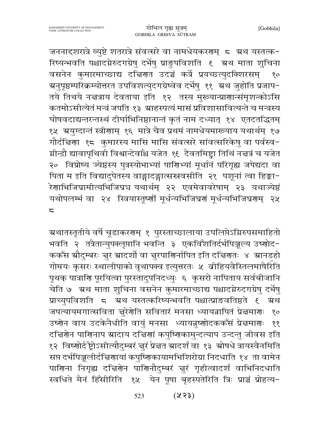जननाद्दशरात्रे व्युष्टे शतरात्रे संवत्सरे वा नामधेयकरणम् 5 अथ यस्तत्क-रिष्यन्भवति पश्चादग्नेरुदगग्रेषु दर्भेषु प्राङुपविशति १ अथ माता शुचिना वसनेन कुमारमाच्छाद्य दचिरणात उदञ्चं कर्त्रे प्रयच्छत्युदक्शिरसम्  $80<sub>o</sub>$ ग्रनुपृष्ठम्परिक्रम्योत्तरत उपविशत्युदगग्रेष्वेव दर्भेषु ११ अथ जुहोति प्रजाप− तये तिथये नचत्राय देवताया इति १२ तस्य मुख्यान्प्राणान्संमृशन्कोऽसि कतमोऽसीत्येतं मन्त्रं जपति १३ श्राहस्पत्यं मासं प्रविशासावित्यन्ते च मन्त्रस्य घोषवदाद्यन्तरन्तस्थं दीर्घाभिनिष्ठानान्तं कृतं नाम दध्यात् १४ एतदतद्धितम् १५ ग्रयुग्दान्तं स्त्रीणाम् १६ मात्रे चैव प्रथमं नामधेयमारूयाय यथार्थम् १७ गौर्दचिया १८ कुमारस्य मासि मासि संवत्सरे सांवत्सरिकेषु वा पर्वस्व-ग्नीन्द्रौ द्यावापृथिवी विश्वान्देवाँश्च यजेत १९ दैवतमिष्ट्वा तिथिं नच्चत्रं च यजेत २० विप्रोष्य ज्येष्ठस्य पुत्रस्योभाभ्यां पाणिभ्यां मूर्धानं परिगृह्य जपेद्यदा वा पिता म इति विद्यादुपेतस्य वाङ्गादङ्गात्सस्रवसीति २१ पशूनां त्वा हिङ्का-.<br>रेणाभिजिघ्रामीत्यभिजिघ्रच यथार्थम् २२ एवमेवावरेषाम् २३ यथाज्येष्ठं यथोपलम्भं वा २४ स्त्रियास्तूष्णीं मूर्धन्यभिजिघ्रणं मूर्धन्यभिजिघ्रणम् २५  $\overline{a}$ 

ग्रथातस्तृतीये वर्षे चूडाकरगम् १ पुरस्ताच्छालाया उपलिप्तेऽग्निरुपसमाहितो भवति २ तत्रैतान्युपक्लृप्तानि भवन्ति ३ एकविँशतिर्दर्भपिञ्जल्य उष्णोद-ककॅंस स्रौदुम्बरः चुर स्रादर्शो वा चुरपाणिर्नापित इति दचिगतः ४ स्रानडहो गोमयः कृसरः स्थालीपाको वृथापक्व इत्युत्तरतः ५ व्रीहियवैस्तिलमाषैरिति पृथक् पात्राणि पूरयित्वा पुरस्तादुपनिदध्युः ६ कृसरो नापिताय सर्वबीजानि चेति ७ अथ माता शुचिना वसनेन कुमारमाच्छाद्य पश्चादग्नेरुदगग्रेषु दर्भेषु प्राच्युपविशति ८ ग्रथ यस्तत्करिष्यन्भवति पश्चात्प्राङवतिष्ठते १ ग्रथ जपत्यायमगात्सविता चुरेणेति सवितारं मनसा ध्यायन्नापितं प्रेचमाणः  $80<sub>o</sub>$ उष्णेन वाय उदकेनैधीति वायुं मनसा ध्यायन्नुष्णोदककरॅंसं प्रेत्नमाणः  $\overline{\mathbf{S}}$ दच्चिर्णेन पाणिनाप स्रादाय दच्चिणां कपुष्णिकामुन्दत्याप उन्दन्तु जीवस इति १२ विष्णोर्द ष्ट्रोऽसीत्यौदुम्बरं चुरं प्रेचत स्रादर्शं वा १३ स्रोषधे त्रायस्वैनमिति सप्त दर्भपिञ्जूलीर्दचिरणायां कपुष्णिकायामभिशिरोग्रा निदधाति १४ ता वामेन पाणिना निगृह्य दचिणेन पाणिनौदुम्बरं चुरं गृहीत्वादर्शं वाभिनिदधाति स्वधिते मैनं हिँसीरिति १५ येन पूषा बृहस्पतेरिति त्रिः प्राञ्चं प्रोहत्य-

> $(23)$ 523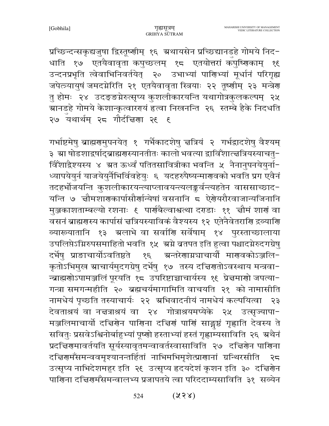प्रच्छिन्दन्सकृद्यजुषा द्विस्तूष्णीम् १६ ग्रथायसेन प्रच्छिद्यानडहे गोमये निद-धाति १७ एतयैवावृता कपुच्छलम् १८ एतयोत्तरां कपुष्णिकाम् १६ उन्दनप्रभृति त्वेवाभिनिवर्तयेत् २० उभाभ्यां पाणिभ्यां मूर्धानं परिगृह्य जपेत्त्र्यायुषं जमदग्नेरिति २१ एतयैवावृता स्त्रियाः २२ तूष्णीम् २३ मन्त्रेण तु होमः २४ उदङ्ङग्नेरुत्सृप्य कुशलीकारयन्ति यथागोत्रकुलकल्पम् २५ ्<br>ग्रानडहे गोमये केशान्कृत्वारगयं हत्वा निखनन्ति २६ स्तम्बे हैके निदधति २७ वथार्थम् २८ गौर्दचिया २९ ६

गर्भाष्टमेषु ब्राह्मरामुपनयेत् १ गर्भैकादशेषु चत्रियं २ गर्भद्रादशेषु वैश्यम् ३ स्रा षोडशाद्रर्षाद्ब्राह्मगस्यानतीतः कालो भवत्या द्वाविँशात्त्वत्रियस्याचतु− विँशाद्वैश्यस्य ४ ग्रत ऊर्ध्वं पतितसावित्रीका भवन्ति ५ नैनानुपनयेयुर्ना-ध्यापयेयुर्न याजयेयुर्नैभिर्विवहेयुः ६ यदहरुपैष्यन्मारणवको भवति प्रग एवैनं तदहर्भोजयन्ति कुशलीकारयन्त्याप्लावयन्त्यलङ्कर्वन्त्यहतेन वाससाच्छाद-यन्ति ७ न्नौमशारणकार्पासौर्णान्येषां वसनानि ८ ऐरोयरौरवाजान्यजिनानि मुञ्जकाशताम्बल्यो रशनाः ६ पार्णबैल्वाश्वत्था दराडाः ११ चौमं शार्णं वा वसनं ब्राह्मगस्य कार्पासं चत्रियस्याविकं वैश्यस्य १२ एतेनैवेतरागि द्रव्यागि व्यारूयातानि १३ भ्रलाभे वा सर्वाणि सर्वेषाम् १४ पुरस्ताच्छालाया उपलिप्तेऽग्निरुपसमाहितो भवति १५ अम्रे ब्रतपत इति हुत्वा पश्चादमेरुदगग्रेषु दर्भेषु प्राङाचार्योऽवतिष्ठते १६ अन्तरेणाग्नघार्यो माणवकोऽञ्जलि-कृतोऽभिमुख स्राचार्यमुदगग्रेषु दर्भेषु १७ तस्य दद्मिणतोऽवस्थाय मन्त्रवा− न्ब्राह्मणोऽपामञ्जलिं पूरयति १८ उपरिष्टाच्चाचार्यस्य १९ प्रेन्नमाणो जपत्या-गन्त्रा समगन्महीति २० ब्रह्मचर्यमागामिति वाचयति २१ को नामासीति नामधेयं पृच्छति तस्याचार्यः २२ अभिवादनीयं नामधेयं कल्पयित्वा २३ देवताश्रयं वा नचत्राश्रयं वा २४ गोत्राश्रयमप्येके २५ उत्सृज्यापा-मञ्जलिमाचार्यो दचिरणेन पाणिना दचिणं पाणिं साङ्गष्ठं गृह्णाति देवस्य ते सवितुः प्रसवेऽश्विनोर्बाहुभ्यां पूष्णो हस्ताभ्यां हस्तं गृह्णाम्यसाविति २६ अथैनं प्रदच्चिरणमावर्तयति सूर्यस्यावृतमन्वावर्तस्वासाविति २७ दच्चिरणेन पारिणना दच्चिर्णमँसमन्ववमृश्यानन्तर्हितां नाभिमभिमृशेत्प्राणानां ग्रन्थिरसीति २८ उत्सृप्य नाभिदेशमहुर इति २६ उत्सृप्य हृदयदेशं कृशन इति ३० दचिर्यान पाणिना दच्चिणमॅसमन्वालभ्य प्रजापतये त्वा परिददाम्यसाविति ३१ सव्येन

> $(238)$ 524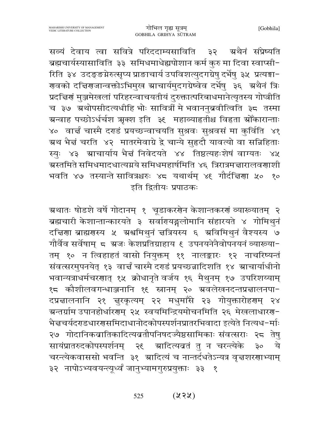सव्यं देवाय त्वा सवित्रे परिददाम्यसाविति ३२ न्न्रथैनं संप्रेष्यति ब्रह्मचार्यस्यासाविति ३३ समिधमाधेह्यपोशान कर्म कुरु मा दिवा स्वाप्सी-रिति ३४ उदङ्ङग्नेरुत्सृप्य प्राङाचार्य उपविशत्युदगग्रेषु दर्भेषु ३५ प्रत्यङ्गा-गलको दचिगजान्वक्तोऽभिमुख स्राचार्यमुदगग्रेष्वेव दर्भेषु ३६ अथैनं त्रिः प्रदच्चिर्णं मुञ्जमेखलां परिहरन्वाचयतीयं दुरुक्तात्परिबाधमानेत्यृतस्य गोप्त्रीति च ३७ ग्रथोपसीदत्यधीहि भोः सावित्रीं मे भवाननुब्रवीत्विति ३८ तस्मा ग्रन्वाह पच्छोऽर्धर्चश ऋक्श इति ३६ महाव्याहतीश्च विहृता स्रोँकारान्ताः ४० वार्चं चास्मै दराडं प्रयच्छन्वाचयति सुश्रवः सुश्रवसं मा कुर्विति ४१ ग्रथ भैन्नं चरति ४२ मातरमेवाग्रे द्वे चान्ये सुहृदौ यावत्यो वा सन्निहिताः स्युः ४३ स्राचार्याय भैन्नं निवेदयते ४४ तिष्ठत्यहःशेषं वाग्यतः ४५ ग्रस्तमिते समिधमादधात्यग्नये समिधमहार्षमिति ४६ त्रिरात्रमत्तारालवणाशी भवति ४७ तस्यान्ते सावित्रश्चरुः ४८ यथार्थम् ४६ गौर्दचिर्णा ५० १० इति द्वितीयः प्रपाठकः

ग्र्यातः षोडशे वर्षे गोदानम् १ चूडाकरशेन केशान्तकरशं व्याख्यातम् २ ब्रह्मचारी केशान्तान्कारयते ३ सर्वारायङ्गलोमानि संहारयते ४ गोमिथुनं दचिणा ब्राह्मणस्य ५ अश्वमिथुनं चत्रियस्य ६ अविमिथुनं वैश्यस्य ७ गौर्वैव सर्वेषाम् ८ ग्रजः केशप्रतिग्राहाय ६ उपनयनेनैवोपनयनं व्याख्या-तम् १० न त्विहाहतं वासो नियुक्तम् ११ नालङ्कारः १२ नाचरिष्यन्तं संवत्सरमुपनयेत् १३ वार्चं चास्मै दराडं प्रयच्छन्नादिशति १४ ग्राचार्याधीनो भवान्यत्राधर्मचरणात् १५ क्रोधानृते वर्जय १६ मैथुनम् १७ उपरिशय्याम् १८ कौशीलवगन्धाञ्जनानि १६ स्त्रानम् २० ग्रवलेखनदन्तप्रज्ञालनपा-दप्रचालनानि २१ चुरकृत्यम् २२ मधुमाँसे २३ गोयुक्तारोहरणम् २४ ग्रन्तर्ग्राम उपानहोर्धारणम् २५ स्वयमिन्द्रियमोचनमिति २६ मेखलाधारण− भैत्तचर्यदराडधारगसमिदाधानोदकोपस्पर्शनप्रातरभिवादा इत्येते नित्यध-र्माः २७ गोदानिकबातिकादित्यबतौपनिषदज्यैष्ठसामिकाः संवत्सराः २८ तेषु सायंप्रातरुदकोपस्पर्शनम् २९ ग्रादित्यवतं तु न चरन्त्येके ये  $50<sup>o</sup>$ चरन्त्येकवाससो भवन्ति ३१ स्रादित्यं च नान्तर्दधतेऽन्यत्र वृत्तशरणाभ्याम् ३२ नापोऽभ्यवयन्त्यूर्ध्वं जानुभ्यामगुरुप्रयुक्ताः ३३ १

> $(x3x)$ 525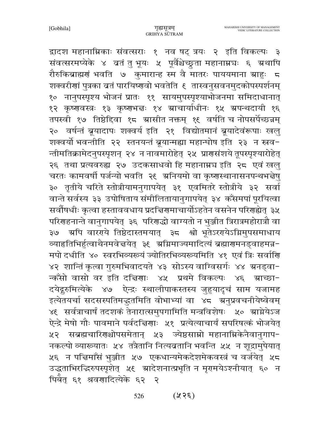द्वादश महानाम्निकाः संवत्सराः १ नव षट् त्रयः २ इति विकल्पः ३ संवत्सरमप्येके ४ व्रतं तु भूयः ५ पूर्वैश्चेच्छुता महानाम्नघः ६ ग्रथापि रौरुकिब्राह्मणं भवति ७ कुमारान्ह स्म वै मातरः पाययमाना ग्राहुः ८ शक्वरीणां पुत्रका व्रतं पारयिष्णवो भवतेति १ तास्वनुसवनमुदकोपस्पर्शनम् १० नानुपस्पृश्य भोजनं प्रातः ११ सायमुपस्पृश्याभोजनमा समिदाधानात् १२ कृष्णवस्त्रः १३ कृष्णभद्तः १४ ग्राचार्याधीनः १५ ग्रपन्थदायी १६ तपस्वी १७ तिष्ठेद्दिवा १८ स्रासीत नक्तम् १६ वर्षति च नोपसर्पेच्छन्नम् २० वर्षन्तं ब्रूयादापः शक्वर्य इति २१ विद्योतमानं ब्रूयादेवंरूपाः खलु शक्वर्यो भवन्तीति २२ स्तनयन्तं ब्रूयान्मह्या महान्धोष इति २३ न स्रव-न्तीमतिक्रामेदनुपस्पृशन् २४ न नावमारोहेत् २५ प्राणसंशये तूपस्पृश्यारोहेत् २६ तथा प्रत्यवरुह्य २७ उदकसाधवो हि महानाम्नच इति २८ एवं खलु चरतः कामवर्षी पर्जन्यो भवति २९ अनियमो वा कृष्णस्थानासनपन्थभन्नेषु ३० तृतीये चरिते स्तोत्रीयामनुगापयेत् ३१ एवमितरे स्तोत्रीये ३२ सर्वा वान्ते सर्वस्य ३३ उपोषिताय संमीलितायानुगापयेत् ३४ कॅसमपां पूरयित्वा सर्वोषधीः कृत्वा हस्ताववधाय प्रदच्चिणमाचार्योऽहतेन वसनेन परिणह्येत् ३५ परिगहनान्ते वानुगापयेत् ३६ परिगद्धो वाग्यतो न भुञ्जीत त्रिरात्रमहोरात्रौ वा ३७ अपि वाररये तिष्ठेदास्तमयात् ३८ श्वो भूतेऽररयेऽग्निमुपसमाधाय व्याहतिभिर्हुत्वाथैनमवेज्ञयेत् ३६ अग्निमाज्यमादित्यं ब्रह्मारामनड्वाहमन्न− मपो दधीति ४० स्वरभिव्यरूयं ज्योतिरभिव्यरूयमिति ४१ एवं त्रिः सर्वाणि ४२ शान्तिं कृत्वा गुरुमभिवादयते ४३ सोऽस्य वाग्विसर्गः ४४ ग्रनड्वा-न्कँसो वासो वर इति दचियाः ४५ प्रथमे विकल्पः ४६ म्राच्छा-दयेदुरुमित्येके ४७ ऐन्द्रः स्थालीपाकस्तस्य जुहुयादृचं साम यजामह इत्येतयर्चा सदसस्पतिमद्भुतमिति वोभाभ्यां वा ४८ अनुप्रवचनीयेष्वेवम् ४६ सर्वत्राचार्षं तदशकं तेनारात्समुपगामिति मन्त्रविशेषः ५० स्राग्नेयेऽज ऐन्द्रे मेषो गौः पावमाने पर्वदच्चिणाः ५१ प्रत्येत्याचार्यं सपरिषत्कं भोजयेत् ५२ सब्रह्मचारिणश्चोपसमेतान् ५३ ज्येष्ठसाम्रो महानाम्निकेनैवानुगाप-नकल्पो व्याख्यातः ५४ तत्रैतानि नित्यब्रतानि भवन्ति ५५ न शूद्रामुपेयात् ५६ न पत्तिमाँसं भुञ्जीत ५७ एकधान्यमेकदेशमेकवस्त्रं च वर्जयेत् ५८ उद्धताभिरद्धिरुपस्पृशेत् ५६ स्रादेशनात्प्रभृति न मृगमयेऽश्नीयात् ६० न पिर्बेत् ६१ श्रवणादित्येके ६२ २

> $(358)$ 526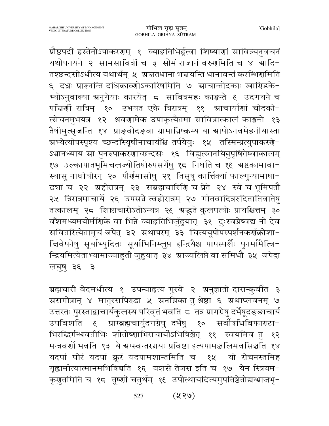प्रौष्ठपदीं हस्तेनोऽपाकरणम् १ व्याहतिभिर्हुत्वा शिष्याणां सावित्र्यनुवचनं यथोपनयने २ सामसावित्रीं च ३ सोमं राजानं वरुगमिति च ४ ग्रादि-तश्छन्दसोऽधीत्य यथार्थम् ५ ग्रज्ञतधाना भज्ञयन्ति धानावन्तं करम्भिर्णामति ६ दधः प्राश्नन्ति दधिक्राव्णोऽकारिषमिति ७ स्राचान्तोदकाः खारिडके-भ्योऽनुवाक्या ग्रनुगेयाः कारयेत् 5 सावित्रमहः काङ्गन्ते ६ उदगयने च पत्तिर्णी रात्रिम् १० उभयत एके त्रिरात्रम् ११ स्राचार्याणां चोदको-त्सेचनमुभयत्र १२ श्रवणामेक उपाकृत्यैतमा सावित्रात्कालं काङ्गन्ते १३ तैषीमुत्सृजन्ति १४ प्राङ्वोदङ्वा ग्रामान्निष्क्रम्य या स्रापोऽनवमेहनीयास्ता ग्रभ्येत्योपस्पृश्य च्छन्दाँस्यृषीनाचार्यांश्च तर्पयेयुः १५ तस्मिन्प्रत्युपाकरणे-ऽभ्रानध्याय स्रा पुनरुपाकरणाच्छन्दसः १६ विद्युत्स्तनयितुपृषितेष्वाकालम् १७ उल्कापातभूमिचलज्योतिषोरुपसर्गेषु १८ निर्घाते च १९ ग्रष्टकामावा-स्यासु नाधीयीरन् २० पौर्णमासीषु २१ तिसृषु कार्त्तिक्यां फाल्गुन्यामाषा-ढ्यां च २२ ग्रहोरात्रम् २३ सब्रह्मचारिशि च प्रेते २४ स्वे च भूमिपतौ २५ त्रिरात्रमाचार्ये २६ उपसन्ने त्वहोरात्रम् २७ गीतवादित्ररुदितातिवातेषु तत्कालम् २८ शिष्टाचारोऽतोऽन्यत्र २९ ग्रद्धते कुलपत्योः प्रायश्चित्तम् ३० वँशमध्यमयोर्मणिके वा भिन्ने व्याहृतिभिर्जुहुयात् ३१ दुःस्वप्नेष्वद्य नो देव सवितरित्येतामृचं जपेत् ३२ ग्रथापरम् ३३ चित्ययूपोपस्पर्शनकर्णक्रोशा-चिवेपनेषु सूर्याभ्युदितः सूर्याभिनिम्लुप्त इन्द्रियैश्च पापस्पर्शैः पुनर्मामैत्वि− न्द्रियमित्येताभ्यामाज्याहुती जुहुयात् ३४ स्राज्यलिप्ते वा समिधौ ३५ जपेद्रा लघुषु ३६  $\mathcal{F}$ 

ब्रह्मचारी वेदमधीत्य १ उपन्याहृत्य गुरवे २ अनुज्ञातो दारान्कुर्वीत ३ ग्रसगोत्रान् ४ मातुरसपिराडा ५ ग्रनग्निका तु श्रेष्ठा ६ ग्रथाप्लवनम् ७ उत्तरतः पुरस्ताद्वाचार्यकुलस्य परिवृतं भवति 5 तत्र प्रागग्रेषु दर्भेषूदङ्ङाचार्य भिरद्धिर्गन्धवतीभिः शीतोष्णाभिराचार्योऽभिषिञ्चेत् ११ स्वयमिव तु १२ मन्त्रवर्णो भवति १३ ये ग्रप्स्वन्तरग्नयः प्रविष्टा इत्यपामञ्जलिमवसिञ्चति १४ यदपां घोरं यदपां क्रूरं यदपामशान्तमिति च १५ यो रोचनस्तमिह गृह्णामीत्यात्मानमभिषिञ्चति १६ यशसे तेजस इति च १७ येन स्त्रियम-कृणुतमिति च १८ तूष्णीं चतुर्थम् १६ उपोत्थायदित्यमुपतिष्ठेतोद्यन्भ्राजभृ-

> $(88)$ 527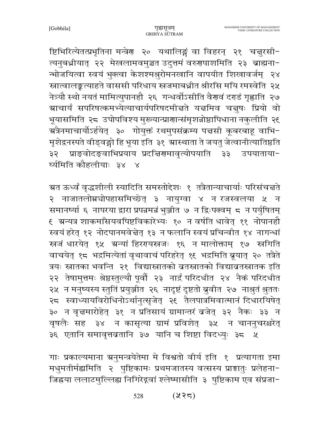ष्टिभिरित्येतत्प्रभृतिना मन्त्रेण २० यथालिङ्गं वा विहरन् २१ चत्तुरसी-त्यनुबध्नीयात् २२ मेखलामवमुञ्चत उदुत्तमं वरुगपाशमिति २३ ब्राह्मना-न्भोजयित्वा स्वयं भुक्त्वा केशश्मश्रुरोमनखानि वापयीत शिखावर्जम् २४ स्नात्वालङ्कत्याहते वाससी परिधाय स्त्रजमाबध्नीत श्रीरसि मयि रमस्वेति २५ नेत्र्यौ स्थो नयतं मामित्युपानहौ २६ गन्धर्वोऽसीति वैरावं दराडं गृह्णाति २७ ग्राचार्यं सपरिषत्कमभ्येत्याचार्यपरिषदमीत्तते यत्तमिव चत्तुषः प्रियो वो भूयासमिति २८ उपोपविश्य मुख्यान्प्राणान्संमृशन्नोष्ठापिधाना नकुलीति २६ ग्रत्रैनमाचार्योऽर्हयेत् ३० गोयुक्तं रथमुपसंक्रम्य पत्तसी कूबरबाहू वाभि− मृशेद्वनस्पते वीड्वङ्गो हि भूया इति ३१ स्रास्थाता ते जयतु जेत्वानीत्यातिष्ठति प्राङ्वोदङ्वाभिप्रयाय प्रदत्तिरामावृत्योपयाति ३३ उपयाताया-३२ र्घ्यमिति कौहलीयाः ३४ ४

ग्रत ऊर्ध्वं वृद्धशीली स्यादिति समस्तोद्देशः १ तत्रैतान्याचार्याः परिसंचत्तते २ नाजातलोम्नचोपहासमिच्छेत् ३ नायुग्वा ४ न रजस्वलया ५ न समानर्ष्या ६ नापरया द्वारा प्रपन्नमन्नं भुञ्जीत ७ न द्विःपक्वम् ८ न पर्युषितम् <u>६ स्रन्यत्र शाकमाँसयवपिष्टविकारेभ्यः १० न वर्षति धावेत् ११ नोपानहौ</u> स्वयं हरेत् १२ नोदपानमवेचेत् १३ न फलानि स्वयं प्रचिन्वीत १४ नागन्धां स्रजं धारयेत् १५ ग्रन्यां हिररायस्रजः १६ न मालोक्ताम् १७ स्रगिति वाचयेत् १८ भद्रमित्येतां वृथावाचं परिहरेत् १६ भद्रमिति ब्रूयात् २० तत्रैते त्रयः स्नातका भवन्ति २१ विद्यास्नातको ब्रतस्नातको विद्याबतस्नातक इति २२ तेषामुत्तमः श्रेष्ठस्तुल्यौ पूर्वौ २३ नार्द्रं परिदधीत २४ नैकं परिदधीत २५ न मनुष्यस्य स्तुतिं प्रयुञ्जीत २६ नादृष्टं दृष्टतो ब्रुवीत २७ नाश्रुतं श्रुततः २८ स्वाध्यायविरोधिनोऽर्थानुत्सृजेत् २९ तैलपात्रमिवात्मानं दिधारयिषेत् ३० न वृत्तमारोहेत् ३१ न प्रतिसायं ग्रामान्तरं बजेत् ३२ नैकः ३३ न वृषलैः सह ३४ न कासृत्या ग्रामं प्रविशेत् ३५ न चाननुचरश्चरेत् ३६ एतानि समावृत्तव्रतानि ३७ यानि च शिष्टा विदध्युः ३८ ५

गाः प्रकाल्यमाना ग्रनुमन्त्रयेतेमा मे विश्वतो वीर्य इति १ प्रत्यागता इमा मधुमतीर्मह्यमिति २ पुष्टिकामः प्रथमजातस्य वत्सस्य प्राङ्मातुः प्रलेहना-जिह्नया ललाटमुल्लिह्य निगिरेद्गवां श्लेष्मासीति ३ पुष्टिकाम एव संप्रजा-

> $(2, 3)$ 528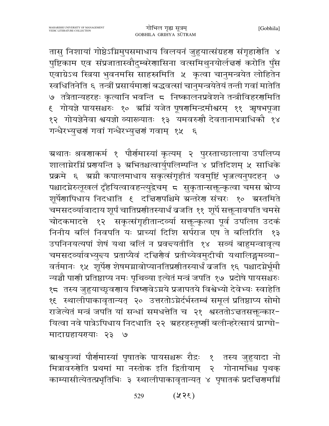तासु निशायां गोष्ठेऽग्निमुपसमाधाय विलयनं जुहुयात्संग्रहण संगृहार्णेति ४ पुष्टिकाम एव संप्रजातास्वौदुम्बरेणासिना वत्समिथुनयोर्लन्नणं करोति पुँस एवाग्रेऽथ स्त्रिया भुवनमसि साहस्रमिति ५ कृत्वा चानुमन्त्रयेत लोहितेन स्वधितिनेति ६ तन्त्रीं प्रसार्यमाणां बद्धवत्सां चानुमन्त्रयेतेयं तन्ती गवां मातेति ७ तत्रैतान्यहरहः कृत्यानि भवन्ति 5 निष्कालनप्रवेशने तन्त्रीविहरणमिति ६ गोयज्ञे पायसश्चरुः १० ग्रम्निं यजेत पूषर्णामन्द्रमीश्वरम् ११ ऋषभपूजा १२ गोयज्ञेनैवा श्वयज्ञो व्याख्यातः १३ यमवरुणौ देवतानामत्राधिकौ १४ गन्धैरभ्युन्नर्गं गवां गन्धैरभ्युन्नर्गं गवाम् १५ ६

ग्रथातः श्रवणाकर्म १ पौर्णमास्यां कृत्यम् २ पुरस्ताच्छालाया उपलिप्य शालाग्नेरग्निं प्रगयन्ति ३ अभितश्चत्वार्युपलिम्पन्ति ४ प्रतिदिशम् ५ साधिके प्रक्रमे ६ ग्रग्नौ कपालमाधाय सकृत्संगृहीतं यवमुष्टिं भृज्जत्यनुपदहन् ७ पश्चादग्रेरुलूखलं दृँहयित्वावहन्त्युद्रेचम् ८ सुकृतान्सक्तून्कृत्वा चमस स्रोप्य शूर्पेणापिधाय निदधाति ६ दचिणपश्चिमे ग्रन्तरेण संचरः १० ग्रस्तमिते चमसदव्यावादाय शूर्पं चातिप्रशीतस्यार्धं बजति ११ शूर्पे सक्तृनावपति चमसे चोदकमादत्ते १२ सकृत्संगृहीतान्दव्या सक्तून्कृत्वा पूर्व उपलिप्त उदकं निनीय बलिं निवपति यः प्राच्यां दिशि सर्पराज एष ते बलिरिति १३ उपनिनयत्यपां शेषं यथा बलिं न प्रवच्चतीति १४ सव्यं बाहुमन्वावृत्य चमसदर्व्यावभ्युन्त्य प्रताप्यैवं दच्चिरेणवं प्रतीच्येवमुदीची यथालिङ्गमव्या-वर्तमानः १५ शूर्पेण शेषमग्नावोप्यानतिप्रणीतस्यार्धं बजति १६ पश्चादग्नेर्भूमौ न्यञ्चौ पार्णी प्रतिष्ठाप्य नमः पृथिव्या इत्येतं मन्त्रं जपति १७ प्रदोषे पायसश्चरुः १८ तस्य जुहुयाच्छुवणाय विष्णवेऽग्नये प्रजापतये विश्वेभ्यो देवेभ्यः स्वाहेति १६ स्थालीपाकावृतान्यत् २० उत्तरतोऽग्नेर्दर्भस्तम्बं समूलं प्रतिष्ठाप्य सोमो राजेत्येतं मन्त्रं जपति यां सन्धां समधत्तेति च २१ श्वस्ततोऽचतसक्तून्कार-यित्वा नवे पात्रेऽपिधाय निदधाति २२ अहरहस्तूष्णीं बलीन्हरेत्सायं प्राग्धो-मादाग्रहायरयाः २३ ७

ग्राश्वयुज्यां पौर्णमास्यां पृषातके पायसश्चरू रौद्रः १ तस्य जुहुयादा नो मित्रावरुगेति प्रथमां मा नस्तोक इति द्वितीयाम् २ गोनामभिश्च पृथक् काम्यासीत्येतत्प्रभृतिभिः ३ स्थालीपाकावृतान्यत् ४ पृषातकं प्रदच्चिणमग्निं

> $(35\%)$ 529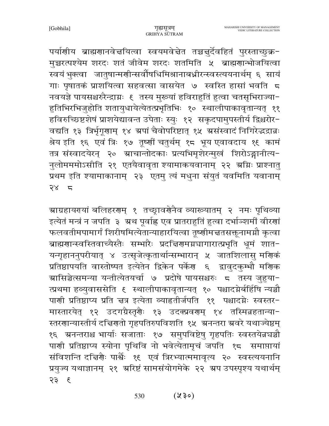पर्याणीय ब्राह्मणानवेचयित्वा स्वयमवेचेत तच्चचुर्देवहितं पुरस्ताच्छुक्र-मुच्चरत्पश्येम शरदः शतं जीवेम शरदः शतमिति ५ ब्राह्मणान्भोजयित्वा स्वयं भुक्त्वा जातुषान्मणीन्सर्वोषधिमिश्रानाबध्नीरन्स्वस्त्ययनार्थम् ६ सायं गाः पृषातकं प्राशयित्वा सहवत्सा वासयेत ७ स्वस्ति हासां भवति 5 नवयज्ञे पायसश्चरुरैन्द्राग्नः ६ तस्य मुख्यां हविराहुतिं हुत्वा चतसृभिराज्या-हुतिभिरभिजुहोति शतायुधायेत्येतत्प्रभृतिभिः १० स्थालीपाकावृतान्यत् ११ हविरुच्छिष्टशेषं प्राशयेद्यावन्त उपेताः स्युः १२ सकृदपामुपस्तीर्य द्विश्चरोर-वद्यति १३ त्रिर्भृगूणाम् १४ ग्रपां चैवोपरिष्टात् १५ ग्रसंस्वादं निगिरेद्धद्रान्नः श्रेय इति १६ एवं त्रिः १७ तूष्णीं चतुर्थम् १८ भूय एवावदाय १६ कामं तत्र संस्वादयेरन् २० ग्राचान्तोदकाः प्रत्यभिमृशेरन्मुखं शिरोऽङ्गानीत्य-नुलोमममोऽसीति २१ एतयैवावृता श्यामाकयवानाम् २२ अग्निः प्राश्नातु प्रथम इति श्यामाकानाम् २३ एतमु त्यं मधुना संयुतं यवमिति यवानाम्  $78$  5

ग्राग्रहायरपां बलिहररणम् १ तच्छ्रावर्गेनैव व्याख्यातम् २ नमः पृथिव्या इत्येतं मन्त्रं न जपति ३ अ्थ पूर्वाह्ल एव प्रातराहुतिं हुत्वा दर्भाञ्शमीं वीरणां फलवतीमपामार्गं शिरीषमित्येतान्याहारयित्वा तूष्णीमचतसक्तूनामग्नौ कृत्वा ब्राह्मणान्स्वस्तिवाच्यैस्तैः सम्भारैः प्रदच्चिणमग्नघागारात्प्रभृति धूमं शात-यन्गृहाननुपरीयात् ४ उत्सृजेत्कृतार्थान्सम्भारान् ५ जातशिलासु मणिकं प्रतिष्ठापयति वास्तोष्पत इत्येतेन द्विकेन पर्केण ६ द्वावुदकुम्भौ मणिक ग्रासिञ्चेत्समन्या यन्तीत्येतयर्चा ७ प्रदोषे पायसश्चरुः ८ तस्य जुहुया− त्प्रथमा हव्युवाससेति १ स्थालीपाकावृतान्यत् १० पश्चादग्नेर्बर्हिषि न्यञ्चौ पाणी प्रतिष्ठाप्य प्रति चत्र इत्येता व्याहृतीर्जपति ११ पश्चादग्नेः स्वस्तर-मास्तारयेत् १२ उदगग्रैस्तृर्यैः १३ उदक्प्रवर्णम् १४ तस्मिन्नहतान्या-स्तरणान्यास्तीर्य दचिरणतो गृहपतिरुपविशति १५ अनन्तरा अवरे यथाज्येष्ठम् पाणी प्रतिष्ठाप्य स्योना पृथिवि नो भवेत्येतामृचं जपति १८ समाप्तायां संविशन्ति दच्चिर्णैः पार्श्वैः १६ एवं त्रिरभ्यात्ममावृत्य २० स्वस्त्ययनानि प्रयुज्य यथाज्ञानम् २१ अरिष्टं सामसंयोगमेके २२ अप उपस्पृश्य यथार्थम्  $3 55$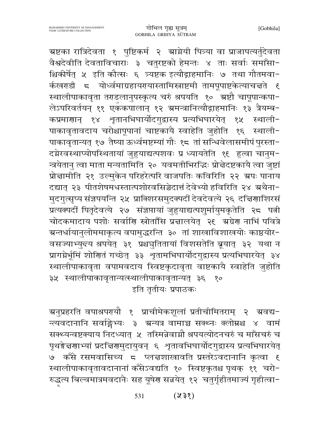ग्रष्टका रात्रिदेवता १ पुष्टिकर्म २ ग्राग्नेयी पित्र्या वा प्राजापत्यर्तुदेवता वैश्वदेवीति देवताविचाराः ३ चतुरष्टको हेमन्तः ४ ताः सर्वाः समाँसा-श्चिकीर्षेत् ५ इति कौत्सः ६ त्र्यष्टक इत्यौद्गाहमानिः ७ तथा गौतमवा− र्कखराडी ८ योर्ध्वमाग्रहायरायास्तामिस्त्राष्टमी तामपूपाष्टकेत्याचत्तते ६ स्थालीपाकावृता तराडलानुपस्कृत्य चरुं श्रपयति १० ग्रष्टौ चापूपान्कपा-लेऽपरिवर्तयन् ११ एकॅकपालान् १२ ग्रमन्त्रानित्यौद्गाहमानिः १३ त्रैयम्ब-कप्रमाणान् १४ शृतानभिघार्योदगुद्वास्य प्रत्यभिघारयेत् १५ स्थाली-पाकावृतावदाय चरोश्चापूपानां चाष्टकायै स्वाहेति जुहोति १६ स्थाली-पाकावृतान्यत् १७ तैष्या ऊर्ध्वमष्टम्यां गौः १८ तां सन्धिवेलासमीपं पुरस्ता-दग्नेरवस्थाप्योपस्थितायां जुहुयाद्यत्पशवः प्र ध्यायतेति १६ हुत्वा चानुम-न्त्रयेतानु त्वा माता मन्यतामिति २० यवमतीभिरद्धिः प्रोत्नेदष्टकायै त्वा जुष्टां प्रोन्नामीति २१ उल्मुकेन परिहरेत्परि वाजपतिः कविरिति २२ ग्रपः पानाय दद्यात् २३ पीतशेषमधस्तात्पशोरवसिञ्चेदात्तं देवेभ्यो हविरिति २४ अथैना-मुदगुत्सृष्य संज्ञपयन्ति २५ प्राक्शिरसमुदक्पदीं देवदेवत्ये २६ दचिर्णाशिरसं प्रत्यक्पदीं पितृदेवत्ये २७ संज्ञप्तायां जुहुयाद्यत्पशुर्मायुमकृतेति २८ पत्नी चोदकमादाय पशोः सर्वाणि स्रोतांसि प्रज्ञालयेत् २९ अग्रेण नाभिं पवित्रे ग्रन्तर्धायानुलोममाकृत्य वपामुद्धरन्ति ३० तां शाखाविशाखयोः काष्ठयोर− वसज्याभ्युन्त्य श्रपयेत् ३१ प्रश्चचुतितायां विशसतेति ब्रूयात् ३२ यथा न प्रागम्नेर्भूमिं शोणितं गच्छेत् ३३ शृतामभिघार्योदगुद्रास्य प्रत्यभिघारयेत् ३४ स्थालीपाकावृता वपामवदाय स्विष्टकृदावृता वाष्टकायै स्वाहेति जुहोति ३५ स्थालीपाकावृतान्यत्स्थालीपाकावृतान्यत् ३६ १० इति तृतीयः प्रपाठकः

ञ्चनुप्रहरति वपाश्रपरयौ १ प्राचीमेकशूलां प्रतीचीमितराम् २ अवद्य− न्त्यवदानानि सर्वाङ्गेभ्यः ३ ग्रन्यत्र वामाञ्च सक्थ्नः क्लोम्नश्च ४ वामं सक्थ्यन्वष्टक्याय निदध्यात् ५ तस्मिन्नेवाग्नौ श्रपयत्योदनचरुं च माँसचरुं च पृथङ्गेत्तरणाभ्यां प्रदत्तिरणमुदायुवन् ६ शृतावभिघार्योदगुद्वास्य प्रत्यभिघारयेत् ७ कँसे रसमवासिच्य ८ प्लन्नशाखावति प्रस्तरेऽवदानानि कृत्वा ६ स्थालीपाकावृतावदानानां कॅंसेऽवद्यति १० स्विष्टकृतश्च पृथक् ११ चरो-रुद्धत्य बिल्वमात्रमवदानैः सह यूषेण सन्नयेत् १२ चतुर्गृहीतमाज्यं गृहीत्वा-

> $(258)$ 531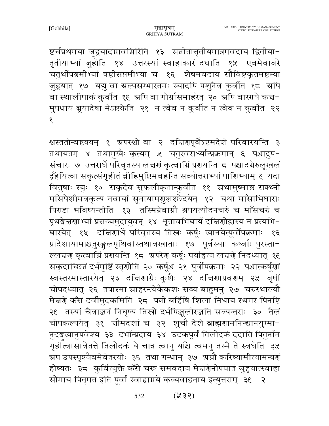[Gobhila]

ष्टर्चप्रथमया जुहुयादग्नावग्निरिति १३ सन्नीतात्तृतीयमात्रमवदाय द्वितीया− तृतीयाभ्यां जुहोति १४ उत्तरस्यां स्वाहाकारं दधाति १५ एवमेवावरे चतुर्थीपञ्चमीभ्यां षष्ठीसप्तमीभ्यां च १६ शेषमवदाय सौविष्टकृतमष्टम्यां जुहुयात् १७ यद्यु वा ग्रल्पसम्भारतमः स्यादपि पशुनैव कुर्वात १८ ग्रपि वा स्थालीपाकं कुर्वात १६ अपि वा गोर्ग्रासमाहरेत् २० अपि वारग्ये कच्च− मुपधाय ब्रूयादेषा मेऽष्टकेति २१ न त्वेव न कुर्वात न त्वेव न कुर्वात २२ १

श्वस्ततोन्वष्टक्यम् १ ग्रपरश्वो वा २ दचिरणपूर्वेऽष्टमदेशे परिवारयन्ति ३ तथायतम् ४ तथामुखैः कृत्यम् ५ चतुरवरार्ध्यान्प्रक्रमान् ६ पश्चादुप-संचारः ७ उत्तरार्धे परिवृतस्य लच्चणं कृत्वाम्निं प्रणयन्ति 5 पश्चादमेरुलूखलं दूँहयित्वा सकृत्संगृहीतं बीहिमुष्टिमवहन्ति सव्योत्तराभ्यां पारिण्भ्याम् ६ यदा वितुषाः स्युः १० सकृदेव सुफलीकृतान्कुर्वीत ११ अथामुष्माञ्च सक्थ्नो माँसपेशीमवकृत्य नवायां सूनायामगुशश्छेदयेत् १२ यथा माँसाभिघाराः पिराडा भविष्यन्तीति १३ तस्मिन्नेवाग्नौ श्रपयत्योदनचरुं च माँसचरुं च पृथङ्गेत्तरणाभ्यां प्रसव्यमुदायुवन् १४ शृतावभिघार्य दत्तिरणोद्वास्य न प्रत्यभि-घारयेत् १५ दत्तिरार्षिं परिवृतस्य तिस्नः कर्षूः खानयेत्पूर्वोपक्रमाः १६ प्रादेशायामाश्चतुरङ्गलपृथिवीस्तथावखाताः १७ पूर्वस्याः कष्वाः पुरस्ता-ल्लचर्णं कृत्वाम्निं प्रगयन्ति १८ अपरेग कर्षूः पर्याहृत्य लचर्गे निदध्यात् १९ सकृदाच्छिन्नं दर्भमुष्टिं स्तृणोति २० कर्षूश्च २१ पूर्वोपक्रमाः २२ पश्चात्कर्षूणां स्वस्तरमास्तारयेत् २३ दचिणाग्रैः कुशैः २४ दचिणाप्रवरणम् २४ वृषीं चोपदध्यात् २६ तत्रास्मा स्राहरन्त्येकैकशः सव्यं बाहुमनु २७ चरुस्थाल्यौ मेत्त्रणे कँसं दर्वीमुदकमिति २८ पत्नी बर्हिषि शिलां निधाय स्थगरं पिनष्टि २६ तस्यां चैवाञ्जनं निघृष्य तिस्रो दर्भपिञ्जूलीरञ्जति सव्यन्तराः ३० तैलं चोपकल्पयेत् ३१ चौमदशां च ३२ शुचौ देशे ब्राह्मणाननिन्द्यानयुग्मा-नुदङ्ग्लानुपवेश्य ३३ दर्भान्प्रदाय ३४ उदकपूर्वं तिलोदकं ददाति पितुर्नाम गृहीत्वासावेतत्ते तिलोदकं ये चात्र त्वानु याँश्च त्वमनु तस्मै ते स्वधेति ३५ ग्रप उपस्पृश्यैवमेवेतरयोः ३६ तथा गन्धान् ३७ ग्रग्नौ करिष्यामीत्यामन्त्रणं होष्यतः ३८ कुर्वित्युक्ते कॅसे चरू समवदाय मेचरोगेपघातं जुहुयात्स्वाहा सोमाय पितृमत इति पूर्वां स्वाहाग्नये कव्यवाहनाय इत्युत्तराम् ३६ २

> $(255)$ 532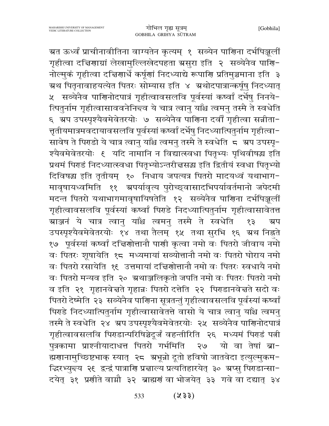ग्रत ऊर्ध्वं प्राचीनावीतिना वाग्यतेन कृत्यम् १ सव्येन पारिणा दर्भपिञ्जूलीं गृहीत्वा दचिरणाग्रां लेखामुल्लिखेदपहता ग्रसुरा इति २ सव्येनैव पाणि− नोल्मुकं गृहीत्वा दत्तिणार्धे कर्षूणां निदध्याद्ये रूपाणि प्रतिमुञ्चमाना इति ३ ग्रथ पितृनावाहयत्येत पितरः सोम्यास इति ४ अथोदपात्रान्कर्षूषु निदध्यात् ५ सव्येनैव पाणिनोदपात्रं गृहीत्वावसलवि पूर्वस्यां कष्वां दर्भेषु निनये-त्पितुर्नाम गृहीत्वासाववनेनिन्दव ये चात्र त्वानु याँश्च त्वमनु तस्मै ते स्वधेति ६ अप उपस्पृश्यैवमेवेतरयोः ७ सव्येनैव पाणिना दर्वीं गृहीत्वा सन्नीता-त्तृतीयमात्रमवदायावसलवि पूर्वस्यां कष्वां दर्भेषु निदध्यात्पितुर्नाम गृहीत्वा− सावेष ते पिराडो ये चात्र त्वानु याँश्च त्वमनु तस्मै ते स्वधेति 5 अप उपस्पृ-श्यैवमेवेतरयोः ६ यदि नामानि न विद्यात्स्वधा पितृभ्यः पृथिवीषद्ध इति प्रथमं पिराडं निदध्यात्स्वधा पितृभ्योऽन्तरीत्तसद्ध इति द्वितीयं स्वधा पितृभ्यो दिविषद्ध इति तृतीयम् १० निधाय जपत्यत्र पितरो मादयध्वं यथाभाग-मावृषायध्वमिति ११ अपर्यावृत्य पुरोच्छ्वासादभिपर्यावर्तमानो जपेदमी मदन्त पितरो यथाभागमावृषायिषतेति १२ सव्येनैव पाणिना दर्भपिञ्जुलीं गृहीत्वावसलवि पूर्वस्यां कष्वां पिराडे निदध्यात्पितुर्नाम गृहीत्वासावेतत्त ग्राञ्जनं ये चात्र त्वान् याँश्च त्वमन् तस्मै ते स्वधेति  $59$ ग्र्प उपस्पृश्यैवमेवेतरयोः १४ तथा तैलम् १५ तथा सुरभि १६ ग्रथ निह्नते १७ पूर्वस्यां कष्वां दचिगोत्तानौ पार्णा कृत्वा नमो वः पितरो जीवाय नमो वः पितरः शूषायेति १८ मध्यमायां सव्योत्तानौ नमो वः पितरो घोराय नमो वः पितरो रसायेति १६ उत्तमायां दचिणोत्तानौ नमो वः पितरः स्वधायै नमो वः पितरो मन्यव इति २० अ्थाञ्जलिकृतो जपति नमो वः पितरः पितरो नमो व इति २१ गृहानवेज्ञते गृहान्नः पितरो दत्तेति २२ पिराडानवेज्ञते सदो वः पितरो देष्मेति २३ सव्येनैव पाणिना सूत्रतन्तुं गृहीत्वावसलवि पूर्वस्यां कष्वां पिराडे निदध्यात्पितुर्नाम गृहीत्वासावेतत्ते वासो ये चात्र त्वानु याँश्च त्वमनु तस्मै ते स्वधेति २४ श्रप उपस्पृश्यैवमेवेतरयोः २५ सव्येनैव पाणिनोदपात्रं गृहीत्वावसलवि पिराडान्परिषिञ्चेदूर्जं वहन्तीरिति २६ मध्यमं पिराडं पत्नी पुत्रकामा प्राश्नीयादाधत्त पितरो गर्भमिति यो वा तेषां ब्रा− २७ ह्मणानामुच्छिष्टभाक् स्यात् २८ अभून्रो दूतो हविषो जातवेदा इत्युल्मुकम-द्धिरभ्युन्दय २६ द्वन्द्वं पात्राणि प्रचाल्य प्रत्यतिहारयेत् ३० ग्रप्सु पिराडान्सा-दयेत् ३१ प्रणीते वाम्रौ ३२ ब्राह्मणं वा भोजयेत् ३३ गवे वा दद्यात् ३४

> $(253)$ 533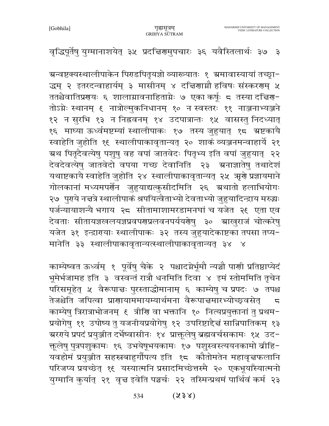## वृद्धिपूर्तेषु युग्मानाशयेत् ३५ प्रदचिरणमुपचारः ३६ यवैस्तिलार्थः ३७ ३

ग्रन्वष्टक्यस्थालीपाकेन पिराडपितृयज्ञो व्याख्यातः १ ग्रमावास्यायां तच्छ्रा− द्धम् २ इतरदन्वाहार्यम् ३ मासीनम् ४ दचिरणाग्नौ हविषः संस्कररणम् ५ ततश्चैवातिप्रगयः ६ शालाम्रावनाहिताम्नेः ७ एका कर्षूः ८ तस्या दचिग्ग− तोऽग्नेः स्थानम् ६ नात्रोल्मुकनिधानम् १० न स्वस्तरः ११ नाञ्जनाभ्यञ्जने १२ न सुरभि १३ न निह्नवनम् १४ उदपात्रान्तः १५ वासस्तु निदध्यात् १६ माघ्या ऊर्ध्वमष्टम्यां स्थालीपाकः १७ तस्य जुहुयात् १८ ग्रष्टकायै स्वाहेति जुहोति १९ स्थालीपाकावृतान्यत् २० शाकं व्यञ्जनमन्वाहार्ये २१ ग्रथ पितृदैवत्येषु पशुषु वह वपां जातवेदः पितृभ्य इति वपां जुहुयात् २२ देवदेवत्येषु जातवेदो वपया गच्छ देवानिति २३ अनाज्ञातेषु तथादेशं यथाष्टकायै स्वाहेति जुहोति २४ स्थालीपाकावृतान्यत् २५ ऋणे प्रज्ञायमाने गोलकानां मध्यमपर्णेन जुहुयाद्यत्कुसीदमिति २६ ग्रथातो हलाभियोगः २७ पुराये नच्चत्रे स्थालीपाकं श्रपयित्वैताभ्यो देवताभ्यो जुहुयादिन्द्राय मरुद्धः पर्जन्यायाशन्यै भगाय २८ सीतामाशामरडामनघां च यजेत २९ एता एव देवताः सीतायज्ञखलयज्ञप्रवपरणप्रलवनपर्ययरोषु ३० स्राखुराजं चोत्करेषु यजेत ३१ इन्द्रारायाः स्थालीपाकः ३२ तस्य जुहुयादेकाष्टका तपसा तप्य-मानेति ३३ स्थालीपाकावृतान्यत्स्थालीपाकावृतान्यत् ३४ ४

काम्येष्वत ऊर्ध्वम् १ पूर्वेषु चैके २ पश्चादग्नेर्भूमौ न्यञ्चौ पार्णा प्रतिष्ठाप्येदं भूमेर्भजामह इति ३ वस्वन्तं रात्रौ धनमिति दिवा ४ इमं स्तोममिति तृचेन परिसमूहेत् ५ वैरूपाचः पुरस्ताद्धोमानाम् ६ काम्येषु च प्रपदः ७ तपश्च तेजश्चेति जपित्वा प्राणायाममायम्यार्थमना वैरूपाचमारभ्योच्छ्वसेत्  $\overline{5}$ प्रयोगेषु ११ उपोष्य तु यजनीयप्रयोगेषु १२ उपरिष्टाद्दैत्तं सान्निपातिकम् १३ ग्ररगये प्रपदं प्रयुञ्जीत दर्भेष्वासीनः १४ प्राक्तूलेषु ब्रह्मवर्चसकामः १५ उद− क्तूलेषु पुत्रपशुकामः १६ उभयेषूभयकामः १७ पशुस्वस्त्ययनकामो व्रीहि-यवहोमं प्रयुञ्जीत सहस्रबाहुर्गौपत्य इति १८ कौतोमतेन महावृत्तफलानि परिजप्य प्रयच्छेत् १६ यस्यात्मनि प्रसादमिच्छेत्तस्मै २० एकभूयाँस्यात्मनो युग्मानि कुर्यात् २१ वृत्त इवेति पञ्चर्चः २२ तस्मिन्प्रथमं पार्थिवं कर्म २३

> $(238)$ 534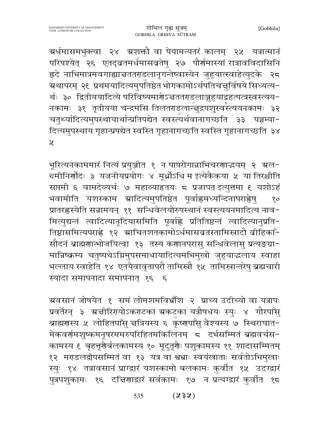ग्रर्धमासमभुक्त्वा २४ ग्रशक्तौ वा पेयामन्यतरं कालम् २५ यत्रात्मानं परिपश्येत् २६ एतद्व्रतमर्धमासव्रतेषु २७ पौर्णमास्यां रात्रावविदासिनि ह्रदे नाभिमात्रमवगाह्याचततराडलानृगन्तेष्वास्येन जुहुयात्स्वाहेत्युदके २८ म्रथापरम् २६ प्रथमयादित्यमुपतिष्ठेतभोगकामोऽर्थपतिचत्तुर्विषये सिध्यत्य− र्थः ३० द्वितीययादित्ये परिविष्यमार्गेऽन्नततराडलाञ्जुहुयाद्वहत्पत्त्रस्वस्त्यय-नकामः ३१ तृतीयया चन्द्रमसि तिलतराडलान्त्तुद्रपशुस्वस्त्ययनकामः ३२ चतुर्थ्यादित्यमुपस्थायार्थान्प्रतिपद्येत स्वस्त्यर्थवानागच्छति ३३ पञ्चम्या-दित्यमुपस्थाय गृहान्प्रपद्येत स्वस्ति गृहानागच्छति स्वस्ति गृहानागच्छति ३४  $\chi$ 

भूरित्यनकाममारं नित्यं प्रयुञ्जीत १ न पापरोगान्नाभिचरणाद्धयम् २ अल-च्मीनिर्णोदः ३ यजनीयप्रयोगः ४ मूर्ध्नोऽधि म इत्येकैकया ५ या तिरश्चीति सप्तमी ६ वामदेव्यर्चः ७ महाव्याहृतयः ८ प्रजापत इत्युत्तमा ९ यशोऽहं भवामीति यशस्काम स्रादित्यमुपतिष्ठेत पूर्वाह्लमध्यन्दिनापराह्लेषु  $80<sub>o</sub>$ प्रातरह्लस्येति सन्नामयन् ११ सन्धिवेलयोरुपस्थानं स्वस्त्ययनमादित्य नाव-मित्युद्यन्तं त्वादित्यानूदियासमिति पूर्वाह्ले प्रतितिष्ठन्तं त्वादित्यानुप्रति-तिष्ठासमित्यपराह्णे १२ ग्राचितशतकामोऽर्धमासव्रतस्तामिस्त्रादौ वीहिकाँ-सौदनं ब्राह्मणान्भोजयित्वा १३ तस्य कणानपरासु सन्धिवेलासु प्रत्यङ्ग्रा− मान्निष्क्रम्य चतुष्पथेऽग्निमुपसमाधायादित्यमभिमुखो जुहुयाद्धलाय स्वाहा भल्लाय स्वाहेति १४ एतयैवावृतापरौ तामिस्त्रौ १५ तामिस्त्रान्तरेषु ब्रह्मचारी स्यादा समापनादा समापनात् १६ ६

ग्रवसानं जोषयेत १ समं लोमशमविभ्रँशि २ प्राच्य उदीच्यो वा यत्रापः प्रवर्तेरन् ३ ग्रचीरिएयोऽकराटका ग्रकटका यत्रौषधयः स्युः ४ गौरपाँसु ब्राह्मगस्य ५ लोहितपाँसु चत्रियस्य ६ कृष्णपाँसु वैश्यस्य ७ स्थिराघात-मेकवर्णमशुष्कमनूषरममरुपरिहितमकिलिनम् ८ दर्भसम्मितं ब्रह्मवर्चस− कामस्य ६ बृहत्तृरौर्बलकामस्य १० मृदुतृरौः पशुकामस्य ११ शादासम्मितम् १२ मराडलद्वीपसम्मितं वा १३ यत्र वा श्वभ्राः स्वयंखाताः सर्वतोऽभिमुखाः स्युः १४ तत्रावसानं प्राग्द्वारं यशस्कामो बलकामः कुर्वीत १५ उदग्द्वारं पुत्रपशुकामः १६ दचिरणाद्वारं सर्वकामः १७ न प्रत्यग्द्वारं कुर्वात १८

> $(x3x)$ 535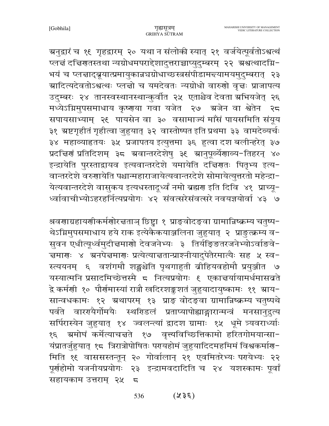ग्रनुद्वारं च १९ गृहद्वारम् २० यथा न संलोकी स्यात् २१ वर्जयेत्पूर्वतोऽश्वत्थं प्लचं दचिरणतस्तथा न्यग्रोधमपराद्देशादुत्तराच्चाप्युदुम्बरम् २२ अश्वत्थादग्नि-भयं च प्लत्ताद्ब्रूयात्प्रमायुकान्नघग्रोधाच्छस्त्रसंपीडामन्त्यामयमुदुम्बरात् २३ ग्रादित्यदेवतोऽश्वत्थः प्लज्ञो च यमदेवतः न्यग्रोधो वारुणो वृज्ञः प्राजापत्य उदुम्बरः २४ तानस्वस्थानस्थान्कुर्वात २५ एताश्चेव देवता स्रभियजेत् २६ मध्येऽग्निमुपसमाधाय कृष्णया गवा यजेत २७ अजेन वा श्वेतेन २८ सपायसाभ्याम् २६ पायसेन वा ३० वसामाज्यं माँसं पायसमिति संयूय ३१ स्रष्टगृहीतं गृहीत्वा जुहुयात् ३२ वास्तोष्पत इति प्रथमा ३३ वामदेव्यर्चः ३४ महाव्याहृतयः ३५ प्रजापतय इत्युत्तमा ३६ हुत्वा दश बलीन्हरेत् ३७ प्रदत्तिरां प्रतिदिशम् ३८ ग्रवान्तरदेशेषु ३९ ग्रानुपूर्व्येगाव्य-तिहरन् ४० इन्द्रायेति पुरस्ताद्वायव इत्यवान्तरदेशे यमायेति दच्चिणतः पितृभ्य इत्य-वान्तरदेशे वरुणायेति पश्चान्महाराजायेत्यवान्तरदेशे सोमायेत्युत्तरतो महेन्द्रा-येत्यवान्तरदेशे वासुकय इत्यधस्तादूर्ध्वं नमो ब्रह्मण इति दिवि ४१ प्राच्यू-ध्वाबाचीभ्योऽहरहर्नित्यप्रयोगः ४२ संवत्सरेसंवत्सरे नवयज्ञयोर्वा ४३ ७

श्रवणाग्रहायणीकर्मणोरचताञ् छिष्ट्वा १ प्राङ्वोदङ्वा ग्रामान्निष्क्रम्य चतुष्प-थेऽग्निमुपसमाधाय हये राक इत्येकैकयाञ्जलिना जुहुयात् २ प्राङुत्क्रम्य व-सुवन एधीत्यूर्ध्वमुदीचमाणो देवजनेभ्यः ३ तिर्यङ्ङितरजनेभ्योऽर्वाङवे-चमारणः ४ अनपेचमारणः प्रत्येत्याचतान्प्राश्नीयादुपेतैरमात्यैः सह ५ स्व− स्त्ययनम् ६ वशंगमौ शङ्खश्चेति पृथगाहुती बीहियवहोमौ प्रयुञ्जीत ७ यस्यात्मनि प्रसादमिच्छेत्तस्मै ८ नित्यप्रयोगः ६ एकाचर्यायामर्धमासब्रते द्वे कर्मणी १० पौर्णमास्यां रात्रौ खदिरशङ्कशतं जुहुयादायुष्कामः ११ स्राय− सान्वधकामः १२ ग्रथापरम् १३ प्राङ् वोदङ्वा ग्रामान्निष्क्रम्य चतुष्पथे पर्वते वाररायैर्गोमयैः स्थरिडलं प्रताप्यापोह्याङ्गारान्मन्त्रं मनसानुद्रुत्य सर्पिरास्येन जुहुयात् १४ ज्वलन्त्यां द्वादश ग्रामाः १५ धूमे त्र्यवराध्याः १६ - ग्रमोघं कर्मेत्याचन्नते । १७ - वृत्त्यविच्छित्तिकामो हरितगोमयान्सा-यंप्रातर्जुहुयात् १८ त्रिरात्रोपोषितः परायहोमं जुहुयादिदमहमिमं विश्वकर्माण-मिति १६ वाससस्तन्तून् २० गोर्वालान् २१ एवमितरेभ्यः परायेभ्यः २२ पूर्णहोमो यजनीयप्रयोगः २३ इन्द्रामवदादिति च २४ यशस्कामः पूर्वां सहायकाम उत्तराम् २५  $\overline{a}$ 

> $(355)$ 536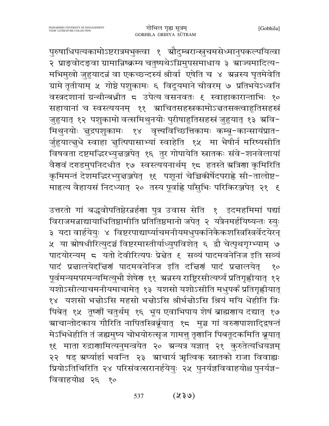पुरुषाधिपत्यकामोऽष्टरात्रमभुक्त्वा १ ग्रौदुम्बरान्स्नुचमसेध्मानुपकल्पयित्वा २ प्राङ्वोदङ्वा ग्रामान्निष्क्रम्य चतुष्पथेऽग्निमुपसमाधाय ३ स्राज्यमादित्य-मभिमुखो जुहुयादन्नं वा एकच्छन्दस्यं श्रीर्वा एषेति च ४ ग्रन्नस्य घृतमेवेति ग्रामे तृतीयाम् ५ गोष्ठे पशुकामः ६ विदूयमाने चीवरम् ७ प्रतिभयेऽध्वनि वस्त्रदशानां ग्रन्थीन्बध्नीत ८ उपेत्य वसनवतः ६ स्वाहाकारान्ताभिः १० सहायानां च स्वस्त्ययनम् ११ ग्राचितसहस्रकामोऽज्ञतसक्त्वाहुतिसहस्रं जुहुयात् १२ पशुकामो वत्समिथुनयोः पुरीषाहुतिसहस्रं जुहुयात् १३ अवि-मिथुनयोः ज्ञुद्रपशुकामः १४ वृत्त्यविच्छित्तिकामः कम्बू-कान्सायंप्रात-र्जुहयात्नुधे स्वाहा नुत्पिपासाभ्यां स्वाहेति १५ मा भैषीर्न मरिष्यसीति विषवता दष्टमद्धिरभ्युन्नञ्जपेत् १६ तुर गोपायेति स्नातकः संवे-शनवेलायां वैरावं दराडमुपनिदधीत १७ स्वस्त्ययनार्थम् १८ हतस्ते ग्रत्रिरा कृमिरिति कृमिमन्तं देशमद्भिरभ्युन्नञ्जपेत् १६ पशूनां चेच्चिकीर्षेदपराह्णे सी-तालोष्ट-माहत्य वैहायसं निदध्यात् २० तस्य पूर्वाह्ने पाँसुभिः परिकिरञ्जपेत् २१ ६

उत्तरतो गां बद्धवोपतिष्ठेरन्नर्हणा पुत्र उवास सेति १ इदमहमिमां पद्यां विराजमन्नाद्यायाधितिष्ठामीति प्रतितिष्ठमानो जपेत् २ यत्रैनमर्हयिष्यन्तः स्युः ३ यदा वार्हयेयुः ४ विष्टरपाद्यार्घ्याचमनीयमधुपर्कानेकैकशस्त्रिस्त्रिर्वेदयेरन् ५ या स्रोषधीरित्युदञ्चं विष्टरमास्तीर्याध्युपविशेत् ६ द्वौ चेत्पृथगृग्भ्याम् ७ पादयोरन्यम् ८ यतो देवीरित्यपः प्रेन्नेत ६ सव्यं पादमवनेनिज इति सव्यं पादं प्रचालयेद्दचिणं पादमवनेनिज इति दचिणं पादं प्रचालयेत्  $80<sub>o</sub>$ पूर्वमन्यमपरमन्यमित्युभौ शेषेर ११ अन्नस्य राष्ट्रिरसीत्यर्घ्यं प्रतिगृह्णीयात् १२ यशोऽसीत्याचमनीयमाचामेत् १३ यशसो यशोऽसीति मधुपर्कं प्रतिगृह्णीयात् १४ यशसो भन्नोऽसि महसो भन्नोऽसि श्रीर्भन्नोऽसि श्रियं मयि धेहीति त्रिः पिबेत् १५ तूष्णीं चतुर्थम् १६ भूय एवाभिपाय शेषं ब्राह्मणाय दद्यात् १७ <mark>ञ्राचान्तोदकाय गौरिति नापितस्त्रिर्बूयात् १८</mark> मुञ्च गां वरुगपाशादि्द्रषन्तं मेऽभिधेहीति तं जह्यमुष्य चोभयोरुत्सृज गामत्तु तृणानि पिबतूदकमिति ब्रूयात् १६ माता रुद्राणामित्यनुमन्त्रयेत २० ग्रन्यत्र यज्ञात् २१ कुरुतेत्यधियज्ञम् २२ षड् ग्रर्घ्यार्हा भवन्ति २३ ग्राचार्य ऋत्विक् स्नातको राजा विवाह्यः प्रियोऽतिथिरिति २४ परिसंवत्सरानर्हयेयुः २५ पुनर्यज्ञविवाहयोश्च पुनर्यज्ञ-विवाहयोश्च २६ १०

> $(85\%)$ 537